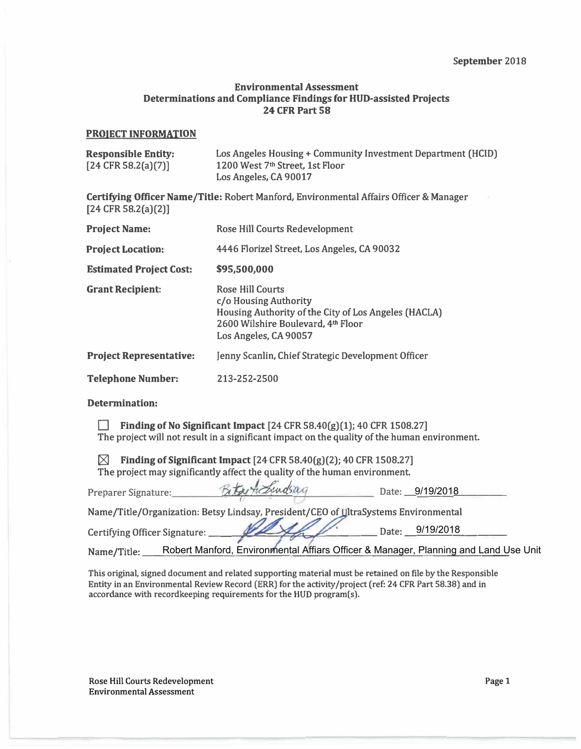### **Environmental Assessment Determinations and Compliance Findings for HUD-assisted Projects 24 CFR Part 58**

#### **PROJECT INFORMATION**

| <b>Responsible Entity:</b><br>$[24 \text{ CFR } 58.2(a)(7)]$ | Los Angeles Housing + Community Investment Department (HCID)<br>1200 West 7 <sup>th</sup> Street, 1st Floor<br>Los Angeles, CA 90017                                    |  |
|--------------------------------------------------------------|-------------------------------------------------------------------------------------------------------------------------------------------------------------------------|--|
| $[24 \text{ CFR } 58.2(a)(2)]$                               | <b>Certifying Officer Name/Title: Robert Manford, Environmental Affairs Officer &amp; Manager</b>                                                                       |  |
| <b>Project Name:</b>                                         | Rose Hill Courts Redevelopment                                                                                                                                          |  |
| <b>Project Location:</b>                                     | 4446 Florizel Street, Los Angeles, CA 90032                                                                                                                             |  |
| <b>Estimated Project Cost:</b>                               | \$95,500,000                                                                                                                                                            |  |
| <b>Grant Recipient:</b>                                      | <b>Rose Hill Courts</b><br>c/o Housing Authority<br>Housing Authority of the City of Los Angeles (HACLA)<br>2600 Wilshire Boulevard, 4th Floor<br>Los Angeles, CA 90057 |  |
| <b>Project Representative:</b>                               | Jenny Scanlin, Chief Strategic Development Officer                                                                                                                      |  |
| <b>Telephone Number:</b>                                     | 213-252-2500                                                                                                                                                            |  |

**Determination:** 

**0 Finding of No Significant Impact [24 CFR 58.40(g)(1); 40 CFR 1508.27] The project will not result in a significant impact on the quality of the human environment.** 

 $\boxtimes$  Finding of Significant Impact [24 CFR 58.40(g)(2); 40 CFR 1508.27] **The project may significantly affect the quality of the human environment.** 

| Preparer Signature:               | Betw Achindsag |                                                                                     | Date: 9/19/2018                                                                     |
|-----------------------------------|----------------|-------------------------------------------------------------------------------------|-------------------------------------------------------------------------------------|
|                                   |                | Name/Title/Organization: Betsy Lindsay, President/CEO of UltraSystems Environmental |                                                                                     |
| Certifying Officer Signature: ___ |                |                                                                                     | Date: 9/19/2018                                                                     |
| Name/Title:                       |                |                                                                                     | Robert Manford, Environmental Affiars Officer & Manager, Planning and Land Use Unit |

**This original, signed document and related supporting material must be retained on file by the Responsible Entity in an Environmental Review Record (ERR) for the activity/project (ref: 24 CFR Part 58.38) and in accordance with recordkeeping requirements for the HUD program(s).** 

**Rose Hill Courts Redevelopment Environmental Assessment**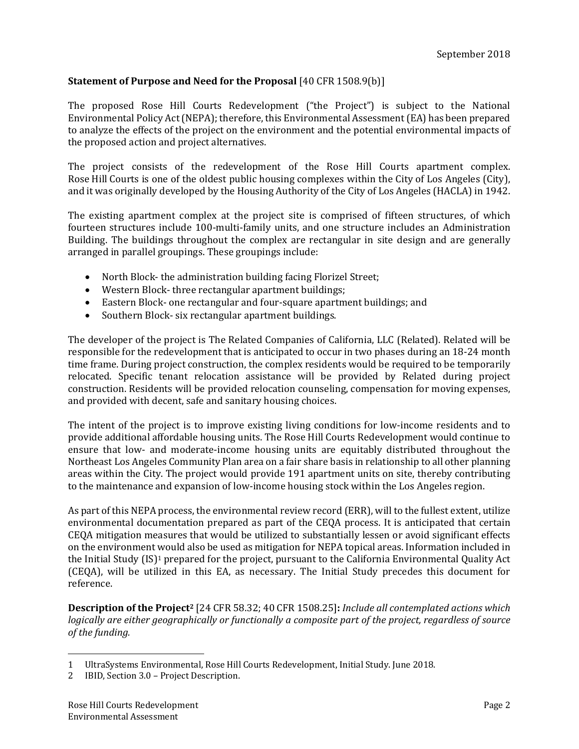### **Statement of Purpose and Need for the Proposal** [40 CFR 1508.9(b)]

The proposed Rose Hill Courts Redevelopment ("the Project") is subject to the National Environmental Policy Act (NEPA); therefore, this Environmental Assessment (EA) has been prepared to analyze the effects of the project on the environment and the potential environmental impacts of the proposed action and project alternatives.

The project consists of the redevelopment of the Rose Hill Courts apartment complex. Rose Hill Courts is one of the oldest public housing complexes within the City of Los Angeles (City), and it was originally developed by the Housing Authority of the City of Los Angeles (HACLA) in 1942.

The existing apartment complex at the project site is comprised of fifteen structures, of which fourteen structures include 100-multi-family units, and one structure includes an Administration Building. The buildings throughout the complex are rectangular in site design and are generally arranged in parallel groupings. These groupings include:

- North Block- the administration building facing Florizel Street;
- Western Block- three rectangular apartment buildings;
- Eastern Block- one rectangular and four-square apartment buildings; and
- Southern Block- six rectangular apartment buildings.

The developer of the project is The Related Companies of California, LLC (Related). Related will be responsible for the redevelopment that is anticipated to occur in two phases during an 18-24 month time frame. During project construction, the complex residents would be required to be temporarily relocated. Specific tenant relocation assistance will be provided by Related during project construction. Residents will be provided relocation counseling, compensation for moving expenses, and provided with decent, safe and sanitary housing choices.

The intent of the project is to improve existing living conditions for low-income residents and to provide additional affordable housing units. The Rose Hill Courts Redevelopment would continue to ensure that low- and moderate-income housing units are equitably distributed throughout the Northeast Los Angeles Community Plan area on a fair share basis in relationship to all other planning areas within the City. The project would provide 191 apartment units on site, thereby contributing to the maintenance and expansion of low-income housing stock within the Los Angeles region.

As part of this NEPA process, the environmental review record (ERR), will to the fullest extent, utilize environmental documentation prepared as part of the CEQA process. It is anticipated that certain CEQA mitigation measures that would be utilized to substantially lessen or avoid significant effects on the environment would also be used as mitigation for NEPA topical areas. Information included in the Initial Study (IS)<sup>1</sup> prepared for the project, pursuant to the California Environmental Quality Act (CEQA), will be utilized in this EA, as necessary. The Initial Study precedes this document for reference. 

**Description of the Project2** [24 CFR 58.32; 40 CFR 1508.25]**:** *Include all contemplated actions which logically are either geographically or functionally a composite part of the project, regardless of source of the funding.*

<sup>1</sup> UltraSystems Environmental, Rose Hill Courts Redevelopment, Initial Study. June 2018.

<sup>2</sup> IBID, Section 3.0 - Project Description.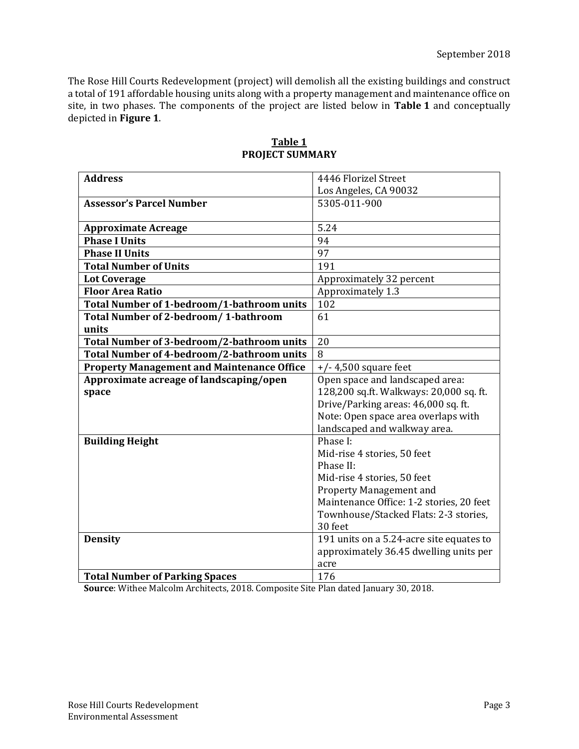The Rose Hill Courts Redevelopment (project) will demolish all the existing buildings and construct a total of 191 affordable housing units along with a property management and maintenance office on site, in two phases. The components of the project are listed below in Table 1 and conceptually depicted in **Figure 1**. 

| <b>Address</b>                                    | 4446 Florizel Street                     |
|---------------------------------------------------|------------------------------------------|
|                                                   | Los Angeles, CA 90032                    |
| <b>Assessor's Parcel Number</b>                   | 5305-011-900                             |
|                                                   |                                          |
| <b>Approximate Acreage</b>                        | 5.24                                     |
| <b>Phase I Units</b>                              | 94                                       |
| <b>Phase II Units</b>                             | 97                                       |
| <b>Total Number of Units</b>                      | 191                                      |
| <b>Lot Coverage</b>                               | Approximately 32 percent                 |
| <b>Floor Area Ratio</b>                           | Approximately 1.3                        |
| Total Number of 1-bedroom/1-bathroom units        | 102                                      |
| <b>Total Number of 2-bedroom/1-bathroom</b>       | 61                                       |
| units                                             |                                          |
| Total Number of 3-bedroom/2-bathroom units        | 20                                       |
| Total Number of 4-bedroom/2-bathroom units        | 8                                        |
| <b>Property Management and Maintenance Office</b> | $+/-$ 4,500 square feet                  |
| Approximate acreage of landscaping/open           | Open space and landscaped area:          |
| space                                             | 128,200 sq.ft. Walkways: 20,000 sq. ft.  |
|                                                   | Drive/Parking areas: 46,000 sq. ft.      |
|                                                   | Note: Open space area overlaps with      |
|                                                   | landscaped and walkway area.             |
| <b>Building Height</b>                            | Phase I:                                 |
|                                                   | Mid-rise 4 stories, 50 feet              |
|                                                   | Phase II:                                |
|                                                   | Mid-rise 4 stories, 50 feet              |
|                                                   | <b>Property Management and</b>           |
|                                                   | Maintenance Office: 1-2 stories, 20 feet |
|                                                   | Townhouse/Stacked Flats: 2-3 stories,    |
|                                                   | 30 feet                                  |
| <b>Density</b>                                    | 191 units on a 5.24-acre site equates to |
|                                                   | approximately 36.45 dwelling units per   |
|                                                   | acre                                     |
| <b>Total Number of Parking Spaces</b>             | 176                                      |

### **Table 1 PROJECT SUMMARY**

**Source**: Withee Malcolm Architects, 2018. Composite Site Plan dated January 30, 2018.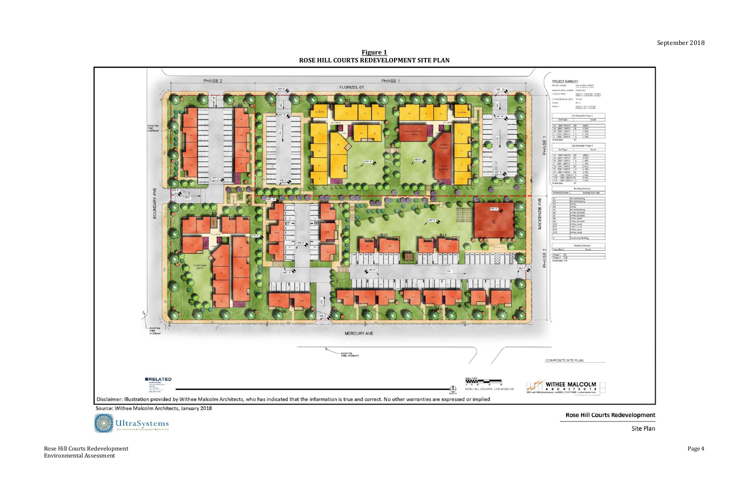Rose Hill Courts Redevelopment Page 4 Environmental Assessment 

## September 2018

| <b>PROJECT SUMMARY</b>                                                                                                                 |                                               |  |
|----------------------------------------------------------------------------------------------------------------------------------------|-----------------------------------------------|--|
| PROJECT ADDRES:                                                                                                                        |                                               |  |
|                                                                                                                                        | 4446 FLORIZEL STREET,<br>LOS ANGELES CA 90032 |  |
| ASSESSE PARCEL SUMMA SERIESTICS                                                                                                        |                                               |  |
| TOTAL LOT ANCA                                                                                                                         | FARCEL 1. 179 ADRES 76,000 of                 |  |
| 1214 NESCRIVÍAL UNITS 191 UNIT                                                                                                         |                                               |  |
| 20MAG                                                                                                                                  | <b>HOTA</b>                                   |  |
| texam'                                                                                                                                 |                                               |  |
|                                                                                                                                        | PARCEL 1 53 ST DUACRE                         |  |
|                                                                                                                                        |                                               |  |
|                                                                                                                                        | Unit Schedule Phase 1                         |  |
|                                                                                                                                        |                                               |  |
| c<br>Unit Type                                                                                                                         | Count<br>$\mathbf{1}$                         |  |
|                                                                                                                                        | (64%)                                         |  |
| $\begin{array}{ c c c c c }\hline 1A - 1BR / 1BATH & 80 \\ \hline 2A - 2BR / 1BATH & 18 \\ 2B - 2BR / 1BATH & 7 \\ \hline \end{array}$ | (19%                                          |  |
|                                                                                                                                        | $\frac{18}{7}$<br>(8%)                        |  |
| $\begin{array}{ c c c c }\hline 3 & -388/2BATH \\ \hline 4 & -4BR/2BATH \\ \hline \end{array}$                                         | $\frac{5}{4}$<br>(5%                          |  |
| Grand total                                                                                                                            | (4%)<br>04                                    |  |
|                                                                                                                                        |                                               |  |
|                                                                                                                                        | Unit Schedule Phase 2                         |  |
| Unit Type<br>ι                                                                                                                         | Count                                         |  |
|                                                                                                                                        |                                               |  |
|                                                                                                                                        | $\sqrt{28}$<br>(29%)                          |  |
| $\frac{1A - 1BR / 1BATH}{2A - 2BR / 1BATH}$<br>$2B - 2BR / 1BATH$                                                                      | $\frac{12}{4}$<br>(13%)                       |  |
|                                                                                                                                        | (4%)                                          |  |
|                                                                                                                                        | (4%)<br>$\frac{4}{10}$<br>(10%)               |  |
|                                                                                                                                        | (4%                                           |  |
|                                                                                                                                        | (12%                                          |  |
|                                                                                                                                        | $(-856)$                                      |  |
|                                                                                                                                        | (11%)                                         |  |
| Grand total                                                                                                                            | (4%)<br>67                                    |  |
|                                                                                                                                        |                                               |  |
|                                                                                                                                        | <b>Building Schedule</b>                      |  |
| <b>Building Number</b>                                                                                                                 | Hulding Sub-Type                              |  |
|                                                                                                                                        |                                               |  |
| 01 02 03 04 05 06 07 08 09 09                                                                                                          | 48 Unit Building                              |  |
|                                                                                                                                        | 46 Unit Building                              |  |
|                                                                                                                                        | $4 - P$ lex<br>$4 - P$ iex                    |  |
|                                                                                                                                        | 48 Unit Building                              |  |
|                                                                                                                                        | 5-Plex Downhill                               |  |
|                                                                                                                                        | 6-Flex Downhill                               |  |
|                                                                                                                                        | 6-Plex Uphill                                 |  |
|                                                                                                                                        | 6-Plex Downhill                               |  |
|                                                                                                                                        | 4-Plax Lavel<br>4-Plax Level                  |  |
|                                                                                                                                        | 6-Plex Level                                  |  |
| $\begin{array}{r} \hline 010 \\ \hline 011 \\ \hline 812 \\ \hline 613 \end{array}$                                                    | 4-Plax Level                                  |  |
|                                                                                                                                        |                                               |  |
| Ŀ                                                                                                                                      | Community Building                            |  |
|                                                                                                                                        |                                               |  |
|                                                                                                                                        | Parking Schedule                              |  |
| Type Mark                                                                                                                              | Count                                         |  |
|                                                                                                                                        |                                               |  |
| Phase 1 50<br>Phase 2 126<br>Grand total 178                                                                                           |                                               |  |
|                                                                                                                                        |                                               |  |
|                                                                                                                                        |                                               |  |
|                                                                                                                                        |                                               |  |
|                                                                                                                                        |                                               |  |
|                                                                                                                                        |                                               |  |
|                                                                                                                                        |                                               |  |
|                                                                                                                                        |                                               |  |
|                                                                                                                                        |                                               |  |
|                                                                                                                                        |                                               |  |
|                                                                                                                                        |                                               |  |
|                                                                                                                                        |                                               |  |
|                                                                                                                                        |                                               |  |
|                                                                                                                                        |                                               |  |
|                                                                                                                                        |                                               |  |
|                                                                                                                                        |                                               |  |
|                                                                                                                                        |                                               |  |
|                                                                                                                                        |                                               |  |
|                                                                                                                                        |                                               |  |
|                                                                                                                                        |                                               |  |
| ì)                                                                                                                                     |                                               |  |
|                                                                                                                                        |                                               |  |
|                                                                                                                                        |                                               |  |
|                                                                                                                                        |                                               |  |
|                                                                                                                                        |                                               |  |
|                                                                                                                                        |                                               |  |
|                                                                                                                                        |                                               |  |
|                                                                                                                                        |                                               |  |
|                                                                                                                                        |                                               |  |
|                                                                                                                                        |                                               |  |
|                                                                                                                                        |                                               |  |
|                                                                                                                                        |                                               |  |
| MPOSITE SITE PLAN                                                                                                                      |                                               |  |
|                                                                                                                                        |                                               |  |
|                                                                                                                                        |                                               |  |
|                                                                                                                                        |                                               |  |
|                                                                                                                                        |                                               |  |
|                                                                                                                                        |                                               |  |
|                                                                                                                                        |                                               |  |
|                                                                                                                                        | <b>ITHEE MALCOLM</b>                          |  |
| R C H                                                                                                                                  | ITEC<br>T <sub>s</sub>                        |  |
|                                                                                                                                        | ce   ca 90504   310.217.8855   withoomalco    |  |
|                                                                                                                                        |                                               |  |
|                                                                                                                                        |                                               |  |
|                                                                                                                                        |                                               |  |
|                                                                                                                                        |                                               |  |

## **Rose Hill Courts Redevelopment**

Site Plan

**Figure 1 ROSE HILL COURTS REDEVELOPMENT SITE PLAN**

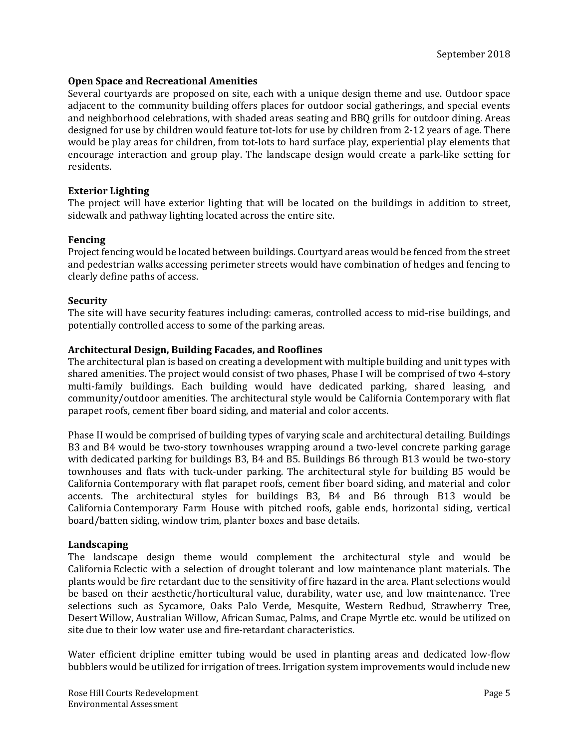### **Open Space and Recreational Amenities**

Several courtyards are proposed on site, each with a unique design theme and use. Outdoor space adjacent to the community building offers places for outdoor social gatherings, and special events and neighborhood celebrations, with shaded areas seating and BBQ grills for outdoor dining. Areas designed for use by children would feature tot-lots for use by children from 2-12 years of age. There would be play areas for children, from tot-lots to hard surface play, experiential play elements that encourage interaction and group play. The landscape design would create a park-like setting for residents. 

### **Exterior Lighting**

The project will have exterior lighting that will be located on the buildings in addition to street, sidewalk and pathway lighting located across the entire site.

### **Fencing**

Project fencing would be located between buildings. Courtyard areas would be fenced from the street and pedestrian walks accessing perimeter streets would have combination of hedges and fencing to clearly define paths of access.

#### **Security**

The site will have security features including: cameras, controlled access to mid-rise buildings, and potentially controlled access to some of the parking areas.

### **Architectural Design, Building Facades, and Rooflines**

The architectural plan is based on creating a development with multiple building and unit types with shared amenities. The project would consist of two phases, Phase I will be comprised of two 4-story multi-family buildings. Each building would have dedicated parking, shared leasing, and community/outdoor amenities. The architectural style would be California Contemporary with flat parapet roofs, cement fiber board siding, and material and color accents.

Phase II would be comprised of building types of varying scale and architectural detailing. Buildings B3 and B4 would be two-story townhouses wrapping around a two-level concrete parking garage with dedicated parking for buildings  $B3$ ,  $B4$  and  $B5$ . Buildings  $B6$  through  $B13$  would be two-story townhouses and flats with tuck-under parking. The architectural style for building B5 would be California Contemporary with flat parapet roofs, cement fiber board siding, and material and color accents. The architectural styles for buildings B3, B4 and B6 through B13 would be California Contemporary Farm House with pitched roofs, gable ends, horizontal siding, vertical board/batten siding, window trim, planter boxes and base details.

#### **Landscaping**

The landscape design theme would complement the architectural style and would be California Eclectic with a selection of drought tolerant and low maintenance plant materials. The plants would be fire retardant due to the sensitivity of fire hazard in the area. Plant selections would be based on their aesthetic/horticultural value, durability, water use, and low maintenance. Tree selections such as Sycamore, Oaks Palo Verde, Mesquite, Western Redbud, Strawberry Tree, Desert Willow, Australian Willow, African Sumac, Palms, and Crape Myrtle etc. would be utilized on site due to their low water use and fire-retardant characteristics.

Water efficient dripline emitter tubing would be used in planting areas and dedicated low-flow bubblers would be utilized for irrigation of trees. Irrigation system improvements would include new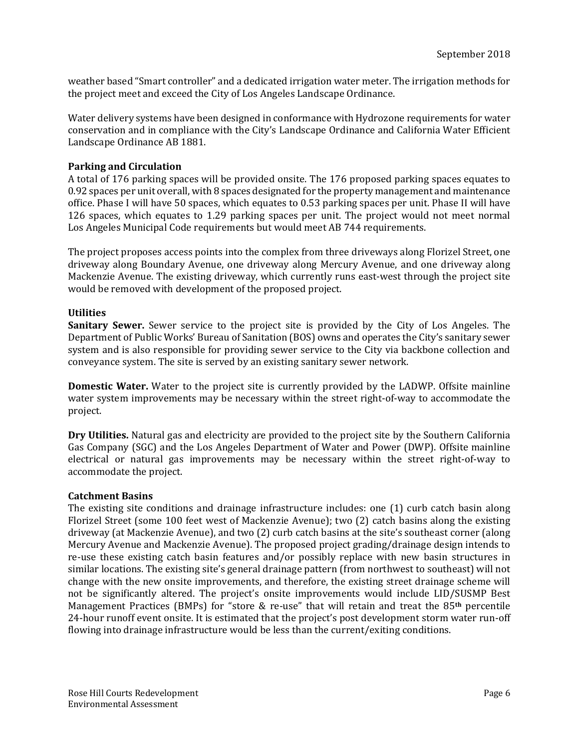weather based "Smart controller" and a dedicated irrigation water meter. The irrigation methods for the project meet and exceed the City of Los Angeles Landscape Ordinance.

Water delivery systems have been designed in conformance with Hydrozone requirements for water conservation and in compliance with the City's Landscape Ordinance and California Water Efficient Landscape Ordinance AB 1881.

### **Parking and Circulation**

A total of 176 parking spaces will be provided onsite. The 176 proposed parking spaces equates to 0.92 spaces per unit overall, with 8 spaces designated for the property management and maintenance office. Phase I will have 50 spaces, which equates to 0.53 parking spaces per unit. Phase II will have 126 spaces, which equates to 1.29 parking spaces per unit. The project would not meet normal Los Angeles Municipal Code requirements but would meet AB 744 requirements.

The project proposes access points into the complex from three driveways along Florizel Street, one driveway along Boundary Avenue, one driveway along Mercury Avenue, and one driveway along Mackenzie Avenue. The existing driveway, which currently runs east-west through the project site would be removed with development of the proposed project.

### **Utilities**

**Sanitary Sewer.** Sewer service to the project site is provided by the City of Los Angeles. The Department of Public Works' Bureau of Sanitation (BOS) owns and operates the City's sanitary sewer system and is also responsible for providing sewer service to the City via backbone collection and conveyance system. The site is served by an existing sanitary sewer network.

**Domestic Water.** Water to the project site is currently provided by the LADWP. Offsite mainline water system improvements may be necessary within the street right-of-way to accommodate the project. 

**Dry Utilities.** Natural gas and electricity are provided to the project site by the Southern California Gas Company (SGC) and the Los Angeles Department of Water and Power (DWP). Offsite mainline electrical or natural gas improvements may be necessary within the street right-of-way to accommodate the project.

#### **Catchment Basins**

The existing site conditions and drainage infrastructure includes: one  $(1)$  curb catch basin along Florizel Street (some 100 feet west of Mackenzie Avenue); two  $(2)$  catch basins along the existing driveway (at Mackenzie Avenue), and two (2) curb catch basins at the site's southeast corner (along Mercury Avenue and Mackenzie Avenue). The proposed project grading/drainage design intends to re-use these existing catch basin features and/or possibly replace with new basin structures in similar locations. The existing site's general drainage pattern (from northwest to southeast) will not change with the new onsite improvements, and therefore, the existing street drainage scheme will not be significantly altered. The project's onsite improvements would include LID/SUSMP Best Management Practices (BMPs) for "store & re-use" that will retain and treat the 85<sup>th</sup> percentile 24-hour runoff event onsite. It is estimated that the project's post development storm water run-off flowing into drainage infrastructure would be less than the current/exiting conditions.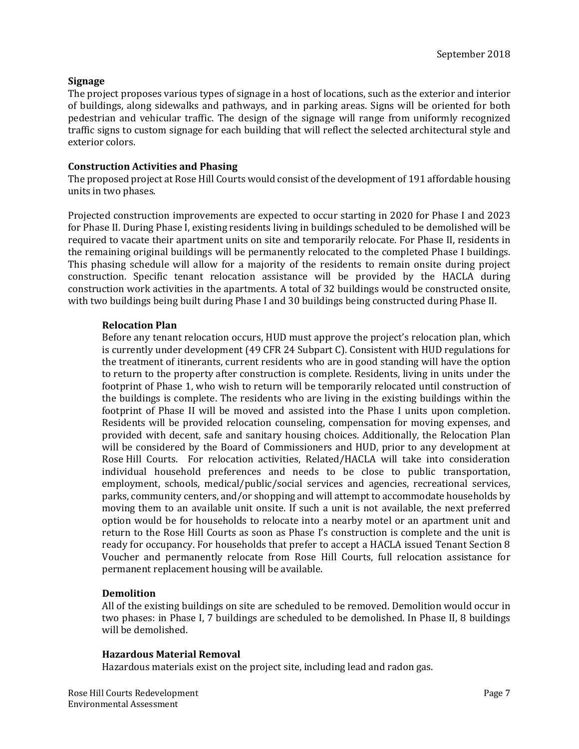### **Signage**

The project proposes various types of signage in a host of locations, such as the exterior and interior of buildings, along sidewalks and pathways, and in parking areas. Signs will be oriented for both pedestrian and vehicular traffic. The design of the signage will range from uniformly recognized traffic signs to custom signage for each building that will reflect the selected architectural style and exterior colors.

### **Construction Activities and Phasing**

The proposed project at Rose Hill Courts would consist of the development of 191 affordable housing units in two phases.

Projected construction improvements are expected to occur starting in 2020 for Phase I and 2023 for Phase II. During Phase I, existing residents living in buildings scheduled to be demolished will be required to vacate their apartment units on site and temporarily relocate. For Phase II, residents in the remaining original buildings will be permanently relocated to the completed Phase I buildings. This phasing schedule will allow for a majority of the residents to remain onsite during project construction. Specific tenant relocation assistance will be provided by the HACLA during construction work activities in the apartments. A total of 32 buildings would be constructed onsite, with two buildings being built during Phase I and 30 buildings being constructed during Phase II.

### **Relocation Plan**

Before any tenant relocation occurs, HUD must approve the project's relocation plan, which is currently under development (49 CFR 24 Subpart C). Consistent with HUD regulations for the treatment of itinerants, current residents who are in good standing will have the option to return to the property after construction is complete. Residents, living in units under the footprint of Phase 1, who wish to return will be temporarily relocated until construction of the buildings is complete. The residents who are living in the existing buildings within the footprint of Phase II will be moved and assisted into the Phase I units upon completion. Residents will be provided relocation counseling, compensation for moving expenses, and provided with decent, safe and sanitary housing choices. Additionally, the Relocation Plan will be considered by the Board of Commissioners and HUD, prior to any development at Rose Hill Courts. For relocation activities, Related/HACLA will take into consideration individual household preferences and needs to be close to public transportation, employment, schools, medical/public/social services and agencies, recreational services, parks, community centers, and/or shopping and will attempt to accommodate households by moving them to an available unit onsite. If such a unit is not available, the next preferred option would be for households to relocate into a nearby motel or an apartment unit and return to the Rose Hill Courts as soon as Phase I's construction is complete and the unit is ready for occupancy. For households that prefer to accept a HACLA issued Tenant Section 8 Voucher and permanently relocate from Rose Hill Courts, full relocation assistance for permanent replacement housing will be available.

#### **Demolition**

All of the existing buildings on site are scheduled to be removed. Demolition would occur in two phases: in Phase I, 7 buildings are scheduled to be demolished. In Phase II, 8 buildings will be demolished.

#### **Hazardous Material Removal**

Hazardous materials exist on the project site, including lead and radon gas.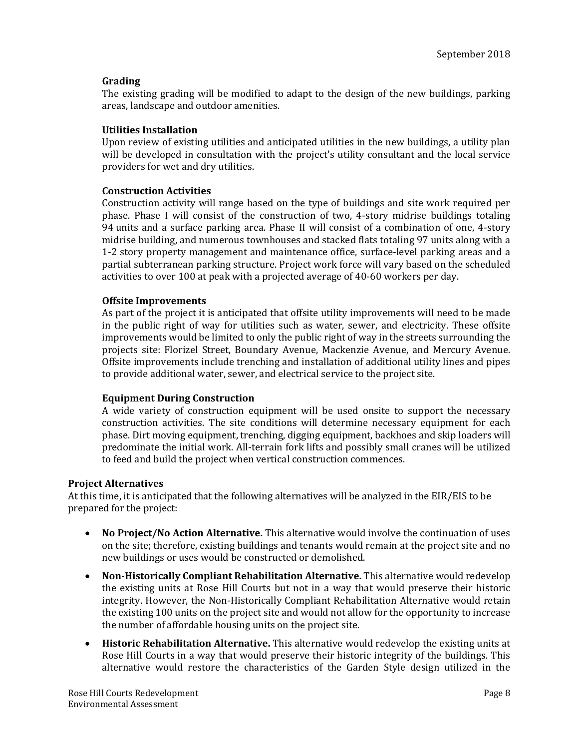### **Grading**

The existing grading will be modified to adapt to the design of the new buildings, parking areas, landscape and outdoor amenities.

### **Utilities Installation**

Upon review of existing utilities and anticipated utilities in the new buildings, a utility plan will be developed in consultation with the project's utility consultant and the local service providers for wet and dry utilities.

#### **Construction Activities**

Construction activity will range based on the type of buildings and site work required per phase. Phase I will consist of the construction of two, 4-story midrise buildings totaling 94 units and a surface parking area. Phase II will consist of a combination of one, 4-story midrise building, and numerous townhouses and stacked flats totaling 97 units along with a 1-2 story property management and maintenance office, surface-level parking areas and a partial subterranean parking structure. Project work force will vary based on the scheduled activities to over 100 at peak with a projected average of  $40-60$  workers per day.

### **Offsite Improvements**

As part of the project it is anticipated that offsite utility improvements will need to be made in the public right of way for utilities such as water, sewer, and electricity. These offsite improvements would be limited to only the public right of way in the streets surrounding the projects site: Florizel Street, Boundary Avenue, Mackenzie Avenue, and Mercury Avenue. Offsite improvements include trenching and installation of additional utility lines and pipes to provide additional water, sewer, and electrical service to the project site.

### **Equipment During Construction**

A wide variety of construction equipment will be used onsite to support the necessary construction activities. The site conditions will determine necessary equipment for each phase. Dirt moving equipment, trenching, digging equipment, backhoes and skip loaders will predominate the initial work. All-terrain fork lifts and possibly small cranes will be utilized to feed and build the project when vertical construction commences.

#### **Project Alternatives**

At this time, it is anticipated that the following alternatives will be analyzed in the EIR/EIS to be prepared for the project:

- No Project/No Action Alternative. This alternative would involve the continuation of uses on the site; therefore, existing buildings and tenants would remain at the project site and no new buildings or uses would be constructed or demolished.
- Non-Historically **Compliant Rehabilitation Alternative.** This alternative would redevelop the existing units at Rose Hill Courts but not in a way that would preserve their historic integrity. However, the Non-Historically Compliant Rehabilitation Alternative would retain the existing 100 units on the project site and would not allow for the opportunity to increase the number of affordable housing units on the project site.
- **Historic Rehabilitation Alternative.** This alternative would redevelop the existing units at Rose Hill Courts in a way that would preserve their historic integrity of the buildings. This alternative would restore the characteristics of the Garden Style design utilized in the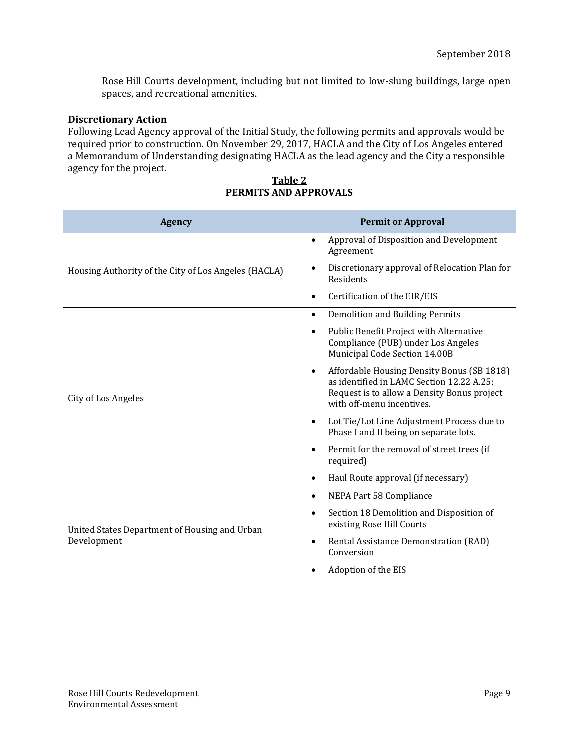Rose Hill Courts development, including but not limited to low-slung buildings, large open spaces, and recreational amenities.

### **Discretionary Action**

Following Lead Agency approval of the Initial Study, the following permits and approvals would be required prior to construction. On November 29, 2017, HACLA and the City of Los Angeles entered a Memorandum of Understanding designating HACLA as the lead agency and the City a responsible agency for the project.

| <b>Agency</b>                                        | <b>Permit or Approval</b>                                                                                                                                                        |
|------------------------------------------------------|----------------------------------------------------------------------------------------------------------------------------------------------------------------------------------|
|                                                      | Approval of Disposition and Development<br>$\bullet$<br>Agreement                                                                                                                |
| Housing Authority of the City of Los Angeles (HACLA) | Discretionary approval of Relocation Plan for<br>$\bullet$<br>Residents                                                                                                          |
|                                                      | Certification of the EIR/EIS                                                                                                                                                     |
|                                                      | Demolition and Building Permits<br>$\bullet$                                                                                                                                     |
|                                                      | Public Benefit Project with Alternative<br>$\bullet$<br>Compliance (PUB) under Los Angeles<br>Municipal Code Section 14.00B                                                      |
| City of Los Angeles                                  | Affordable Housing Density Bonus (SB 1818)<br>$\bullet$<br>as identified in LAMC Section 12.22 A.25:<br>Request is to allow a Density Bonus project<br>with off-menu incentives. |
|                                                      | Lot Tie/Lot Line Adjustment Process due to<br>$\bullet$<br>Phase I and II being on separate lots.                                                                                |
|                                                      | Permit for the removal of street trees (if<br>$\bullet$<br>required)                                                                                                             |
|                                                      | Haul Route approval (if necessary)                                                                                                                                               |
|                                                      | NEPA Part 58 Compliance<br>$\bullet$                                                                                                                                             |
| United States Department of Housing and Urban        | Section 18 Demolition and Disposition of<br>existing Rose Hill Courts                                                                                                            |
| Development                                          | Rental Assistance Demonstration (RAD)<br>Conversion                                                                                                                              |
|                                                      | Adoption of the EIS                                                                                                                                                              |

### **Table 2 PERMITS AND APPROVALS**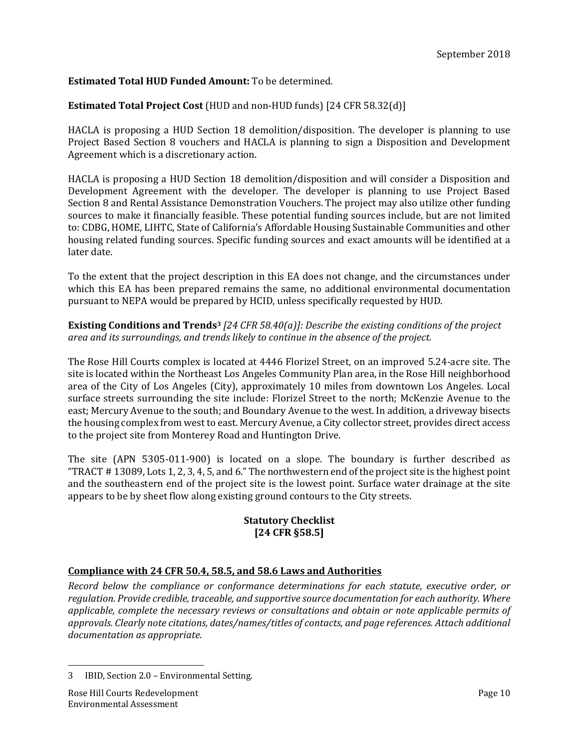## **Estimated Total HUD Funded Amount:** To be determined.

### **Estimated Total Project Cost** (HUD and non-HUD funds) [24 CFR 58.32(d)]

HACLA is proposing a HUD Section 18 demolition/disposition. The developer is planning to use Project Based Section 8 vouchers and HACLA is planning to sign a Disposition and Development Agreement which is a discretionary action.

HACLA is proposing a HUD Section 18 demolition/disposition and will consider a Disposition and Development Agreement with the developer. The developer is planning to use Project Based Section 8 and Rental Assistance Demonstration Vouchers. The project may also utilize other funding sources to make it financially feasible. These potential funding sources include, but are not limited to: CDBG, HOME, LIHTC, State of California's Affordable Housing Sustainable Communities and other housing related funding sources. Specific funding sources and exact amounts will be identified at a later date.

To the extent that the project description in this EA does not change, and the circumstances under which this EA has been prepared remains the same, no additional environmental documentation pursuant to NEPA would be prepared by HCID, unless specifically requested by HUD.

### **Existing Conditions and Trends3** *[24 CFR 58.40(a)]: Describe the existing conditions of the project area and its surroundings, and trends likely to continue in the absence of the project.*

The Rose Hill Courts complex is located at 4446 Florizel Street, on an improved 5.24-acre site. The site is located within the Northeast Los Angeles Community Plan area, in the Rose Hill neighborhood area of the City of Los Angeles (City), approximately 10 miles from downtown Los Angeles. Local surface streets surrounding the site include: Florizel Street to the north; McKenzie Avenue to the east; Mercury Avenue to the south; and Boundary Avenue to the west. In addition, a driveway bisects the housing complex from west to east. Mercury Avenue, a City collector street, provides direct access to the project site from Monterey Road and Huntington Drive.

The site (APN 5305-011-900) is located on a slope. The boundary is further described as "TRACT  $# 13089$ , Lots 1, 2, 3, 4, 5, and 6." The northwestern end of the project site is the highest point and the southeastern end of the project site is the lowest point. Surface water drainage at the site appears to be by sheet flow along existing ground contours to the City streets.

### **Statutory Checklist [24 CFR §58.5]**

### **Compliance with 24 CFR 50.4, 58.5, and 58.6 Laws and Authorities**

*Record below the compliance or conformance determinations for each statute, executive order, or regulation. Provide credible, traceable, and supportive source documentation for each authority. Where applicable, complete the necessary reviews or consultations and obtain or note applicable permits of approvals. Clearly note citations, dates/names/titles of contacts, and page references. Attach additional documentation as appropriate.*

<sup>3</sup> IBID, Section 2.0 - Environmental Setting.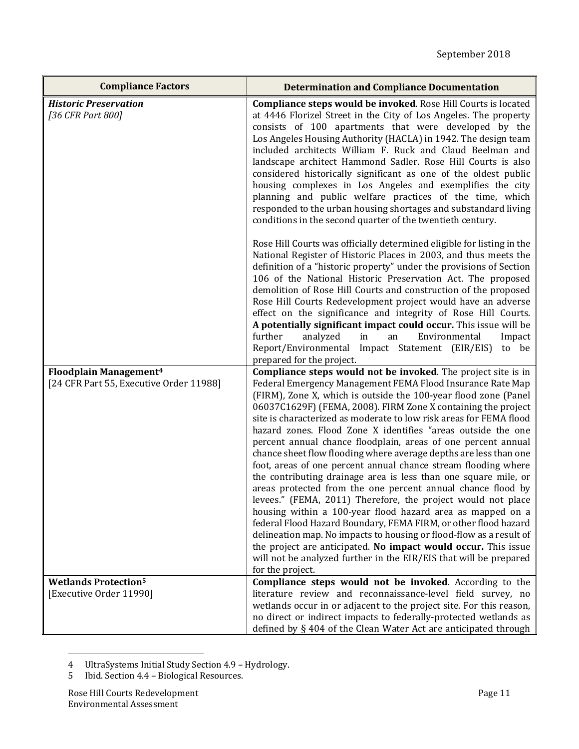| <b>Compliance Factors</b>                                                     | <b>Determination and Compliance Documentation</b>                                                                                                                                                                                                                                                                                                                                                                                                                                                                                                                                                                                                                                                                                                                                                                                                                                                                                                                                                                                                                                                                                                                                  |
|-------------------------------------------------------------------------------|------------------------------------------------------------------------------------------------------------------------------------------------------------------------------------------------------------------------------------------------------------------------------------------------------------------------------------------------------------------------------------------------------------------------------------------------------------------------------------------------------------------------------------------------------------------------------------------------------------------------------------------------------------------------------------------------------------------------------------------------------------------------------------------------------------------------------------------------------------------------------------------------------------------------------------------------------------------------------------------------------------------------------------------------------------------------------------------------------------------------------------------------------------------------------------|
| <b>Historic Preservation</b><br>[36 CFR Part 800]                             | Compliance steps would be invoked. Rose Hill Courts is located<br>at 4446 Florizel Street in the City of Los Angeles. The property<br>consists of 100 apartments that were developed by the<br>Los Angeles Housing Authority (HACLA) in 1942. The design team<br>included architects William F. Ruck and Claud Beelman and<br>landscape architect Hammond Sadler. Rose Hill Courts is also<br>considered historically significant as one of the oldest public<br>housing complexes in Los Angeles and exemplifies the city<br>planning and public welfare practices of the time, which<br>responded to the urban housing shortages and substandard living<br>conditions in the second quarter of the twentieth century.                                                                                                                                                                                                                                                                                                                                                                                                                                                            |
|                                                                               | Rose Hill Courts was officially determined eligible for listing in the<br>National Register of Historic Places in 2003, and thus meets the<br>definition of a "historic property" under the provisions of Section<br>106 of the National Historic Preservation Act. The proposed<br>demolition of Rose Hill Courts and construction of the proposed<br>Rose Hill Courts Redevelopment project would have an adverse<br>effect on the significance and integrity of Rose Hill Courts.<br>A potentially significant impact could occur. This issue will be<br>further<br>analyzed<br>in<br>Environmental<br>an<br>Impact<br>Report/Environmental Impact Statement (EIR/EIS) to be<br>prepared for the project.                                                                                                                                                                                                                                                                                                                                                                                                                                                                       |
| Floodplain Management <sup>4</sup><br>[24 CFR Part 55, Executive Order 11988] | Compliance steps would not be invoked. The project site is in<br>Federal Emergency Management FEMA Flood Insurance Rate Map<br>(FIRM), Zone X, which is outside the 100-year flood zone (Panel<br>06037C1629F) (FEMA, 2008). FIRM Zone X containing the project<br>site is characterized as moderate to low risk areas for FEMA flood<br>hazard zones. Flood Zone X identifies "areas outside the one<br>percent annual chance floodplain, areas of one percent annual<br>chance sheet flow flooding where average depths are less than one<br>foot, areas of one percent annual chance stream flooding where<br>the contributing drainage area is less than one square mile, or<br>areas protected from the one percent annual chance flood by<br>levees." (FEMA, 2011) Therefore, the project would not place<br>housing within a 100-year flood hazard area as mapped on a<br>federal Flood Hazard Boundary, FEMA FIRM, or other flood hazard<br>delineation map. No impacts to housing or flood-flow as a result of<br>the project are anticipated. No impact would occur. This issue<br>will not be analyzed further in the EIR/EIS that will be prepared<br>for the project. |
| <b>Wetlands Protection<sup>5</sup></b><br>[Executive Order 11990]             | Compliance steps would not be invoked. According to the<br>literature review and reconnaissance-level field survey, no<br>wetlands occur in or adjacent to the project site. For this reason,<br>no direct or indirect impacts to federally-protected wetlands as<br>defined by § 404 of the Clean Water Act are anticipated through                                                                                                                                                                                                                                                                                                                                                                                                                                                                                                                                                                                                                                                                                                                                                                                                                                               |

<sup>4</sup> UltraSystems Initial Study Section 4.9 - Hydrology.

<u> 1989 - Johann Stein, fransk politik (d. 1989)</u>

<sup>5</sup> Ibid. Section 4.4 - Biological Resources.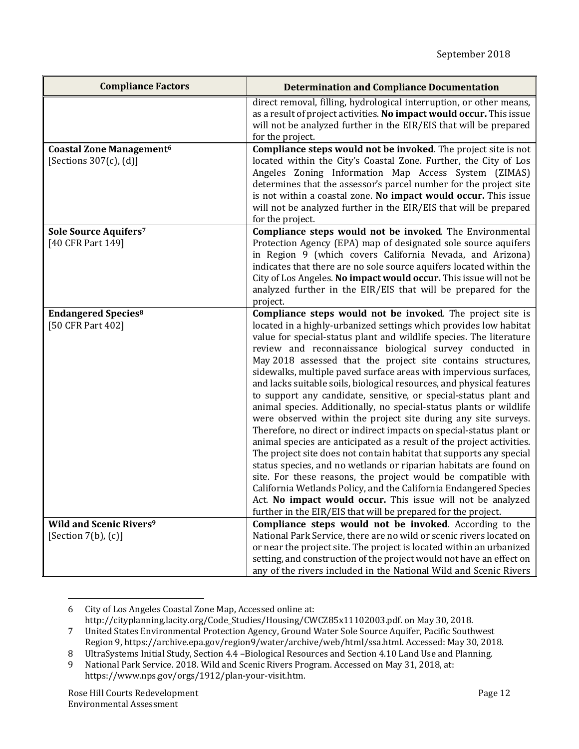| <b>Compliance Factors</b>                                                  | <b>Determination and Compliance Documentation</b>                                                                                                                                                                                                                                                                                                                                                                                                                                                                                                                                                                                                                                                                                                                                                                                                                                                                                                                                                                                                                                                                                                                                                                                                              |
|----------------------------------------------------------------------------|----------------------------------------------------------------------------------------------------------------------------------------------------------------------------------------------------------------------------------------------------------------------------------------------------------------------------------------------------------------------------------------------------------------------------------------------------------------------------------------------------------------------------------------------------------------------------------------------------------------------------------------------------------------------------------------------------------------------------------------------------------------------------------------------------------------------------------------------------------------------------------------------------------------------------------------------------------------------------------------------------------------------------------------------------------------------------------------------------------------------------------------------------------------------------------------------------------------------------------------------------------------|
|                                                                            | direct removal, filling, hydrological interruption, or other means,<br>as a result of project activities. No impact would occur. This issue<br>will not be analyzed further in the EIR/EIS that will be prepared<br>for the project.                                                                                                                                                                                                                                                                                                                                                                                                                                                                                                                                                                                                                                                                                                                                                                                                                                                                                                                                                                                                                           |
| <b>Coastal Zone Management<sup>6</sup></b><br>[Sections $307(c)$ , $(d)$ ] | Compliance steps would not be invoked. The project site is not<br>located within the City's Coastal Zone. Further, the City of Los<br>Angeles Zoning Information Map Access System (ZIMAS)<br>determines that the assessor's parcel number for the project site<br>is not within a coastal zone. No impact would occur. This issue<br>will not be analyzed further in the EIR/EIS that will be prepared<br>for the project.                                                                                                                                                                                                                                                                                                                                                                                                                                                                                                                                                                                                                                                                                                                                                                                                                                    |
| Sole Source Aquifers7<br>[40 CFR Part 149]                                 | Compliance steps would not be invoked. The Environmental<br>Protection Agency (EPA) map of designated sole source aquifers<br>in Region 9 (which covers California Nevada, and Arizona)<br>indicates that there are no sole source aquifers located within the<br>City of Los Angeles. No impact would occur. This issue will not be<br>analyzed further in the EIR/EIS that will be prepared for the<br>project.                                                                                                                                                                                                                                                                                                                                                                                                                                                                                                                                                                                                                                                                                                                                                                                                                                              |
| <b>Endangered Species<sup>8</sup></b><br>[50 CFR Part 402]                 | Compliance steps would not be invoked. The project site is<br>located in a highly-urbanized settings which provides low habitat<br>value for special-status plant and wildlife species. The literature<br>review and reconnaissance biological survey conducted in<br>May 2018 assessed that the project site contains structures,<br>sidewalks, multiple paved surface areas with impervious surfaces,<br>and lacks suitable soils, biological resources, and physical features<br>to support any candidate, sensitive, or special-status plant and<br>animal species. Additionally, no special-status plants or wildlife<br>were observed within the project site during any site surveys.<br>Therefore, no direct or indirect impacts on special-status plant or<br>animal species are anticipated as a result of the project activities.<br>The project site does not contain habitat that supports any special<br>status species, and no wetlands or riparian habitats are found on<br>site. For these reasons, the project would be compatible with<br>California Wetlands Policy, and the California Endangered Species<br>Act. No impact would occur. This issue will not be analyzed<br>further in the EIR/EIS that will be prepared for the project. |
| <b>Wild and Scenic Rivers<sup>9</sup></b><br>[Section $7(b)$ , $(c)$ ]     | Compliance steps would not be invoked. According to the<br>National Park Service, there are no wild or scenic rivers located on<br>or near the project site. The project is located within an urbanized<br>setting, and construction of the project would not have an effect on<br>any of the rivers included in the National Wild and Scenic Rivers                                                                                                                                                                                                                                                                                                                                                                                                                                                                                                                                                                                                                                                                                                                                                                                                                                                                                                           |

 6 City of Los Angeles Coastal Zone Map, Accessed online at:

http://cityplanning.lacity.org/Code\_Studies/Housing/CWCZ85x11102003.pdf. on May 30, 2018.

<sup>7</sup> United States Environmental Protection Agency, Ground Water Sole Source Aquifer, Pacific Southwest Region 9, https://archive.epa.gov/region9/water/archive/web/html/ssa.html. Accessed: May 30, 2018.

<sup>8</sup> UltraSystems Initial Study, Section 4.4 -Biological Resources and Section 4.10 Land Use and Planning.

<sup>9</sup> National Park Service. 2018. Wild and Scenic Rivers Program. Accessed on May 31, 2018, at: https://www.nps.gov/orgs/1912/plan‐your‐visit.htm.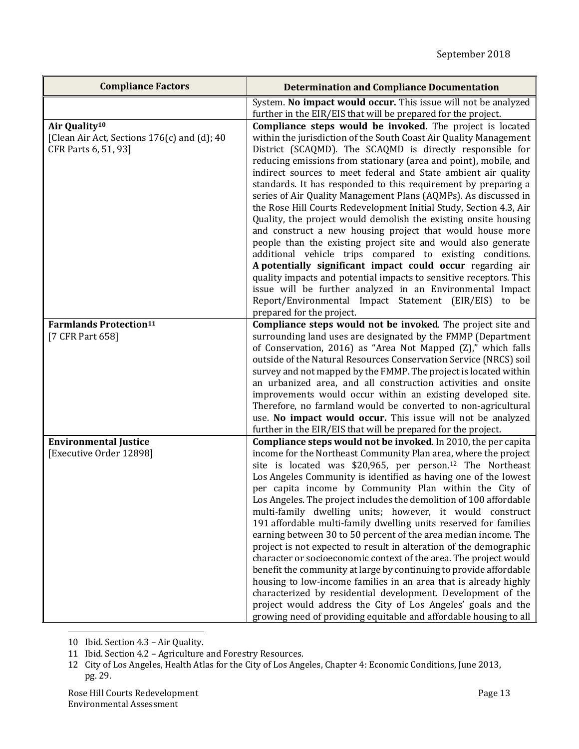| <b>Compliance Factors</b>                                                                        | <b>Determination and Compliance Documentation</b>                                                                                                                                                                                                                                                                                                                                                                                                                                                                                                                                                                                                                                                                                                                                                                                                                                                                                                                                                                                                                                                          |
|--------------------------------------------------------------------------------------------------|------------------------------------------------------------------------------------------------------------------------------------------------------------------------------------------------------------------------------------------------------------------------------------------------------------------------------------------------------------------------------------------------------------------------------------------------------------------------------------------------------------------------------------------------------------------------------------------------------------------------------------------------------------------------------------------------------------------------------------------------------------------------------------------------------------------------------------------------------------------------------------------------------------------------------------------------------------------------------------------------------------------------------------------------------------------------------------------------------------|
|                                                                                                  | System. No impact would occur. This issue will not be analyzed<br>further in the EIR/EIS that will be prepared for the project.                                                                                                                                                                                                                                                                                                                                                                                                                                                                                                                                                                                                                                                                                                                                                                                                                                                                                                                                                                            |
| Air Quality <sup>10</sup><br>[Clean Air Act, Sections 176(c) and (d); 40<br>CFR Parts 6, 51, 93] | Compliance steps would be invoked. The project is located<br>within the jurisdiction of the South Coast Air Quality Management<br>District (SCAQMD). The SCAQMD is directly responsible for<br>reducing emissions from stationary (area and point), mobile, and<br>indirect sources to meet federal and State ambient air quality<br>standards. It has responded to this requirement by preparing a<br>series of Air Quality Management Plans (AQMPs). As discussed in<br>the Rose Hill Courts Redevelopment Initial Study, Section 4.3, Air<br>Quality, the project would demolish the existing onsite housing<br>and construct a new housing project that would house more<br>people than the existing project site and would also generate<br>additional vehicle trips compared to existing conditions.<br>A potentially significant impact could occur regarding air<br>quality impacts and potential impacts to sensitive receptors. This<br>issue will be further analyzed in an Environmental Impact<br>Report/Environmental Impact Statement (EIR/EIS)<br>to be<br>prepared for the project.       |
| <b>Farmlands Protection</b> <sup>11</sup><br>[7 CFR Part 658]                                    | Compliance steps would not be invoked. The project site and<br>surrounding land uses are designated by the FMMP (Department<br>of Conservation, 2016) as "Area Not Mapped (Z)," which falls<br>outside of the Natural Resources Conservation Service (NRCS) soil<br>survey and not mapped by the FMMP. The project is located within<br>an urbanized area, and all construction activities and onsite<br>improvements would occur within an existing developed site.<br>Therefore, no farmland would be converted to non-agricultural<br>use. No impact would occur. This issue will not be analyzed<br>further in the EIR/EIS that will be prepared for the project.                                                                                                                                                                                                                                                                                                                                                                                                                                      |
| <b>Environmental Justice</b><br>[Executive Order 12898]                                          | Compliance steps would not be invoked. In 2010, the per capita<br>income for the Northeast Community Plan area, where the project<br>site is located was \$20,965, per person. <sup>12</sup> The Northeast<br>Los Angeles Community is identified as having one of the lowest<br>per capita income by Community Plan within the City of<br>Los Angeles. The project includes the demolition of 100 affordable<br>multi-family dwelling units; however, it would construct<br>191 affordable multi-family dwelling units reserved for families<br>earning between 30 to 50 percent of the area median income. The<br>project is not expected to result in alteration of the demographic<br>character or socioeconomic context of the area. The project would<br>benefit the community at large by continuing to provide affordable<br>housing to low-income families in an area that is already highly<br>characterized by residential development. Development of the<br>project would address the City of Los Angeles' goals and the<br>growing need of providing equitable and affordable housing to all |

 10 Ibid. Section 4.3 - Air Quality.

<sup>11</sup> Ibid. Section 4.2 - Agriculture and Forestry Resources.

<sup>12</sup> City of Los Angeles, Health Atlas for the City of Los Angeles, Chapter 4: Economic Conditions, June 2013, pg. 29.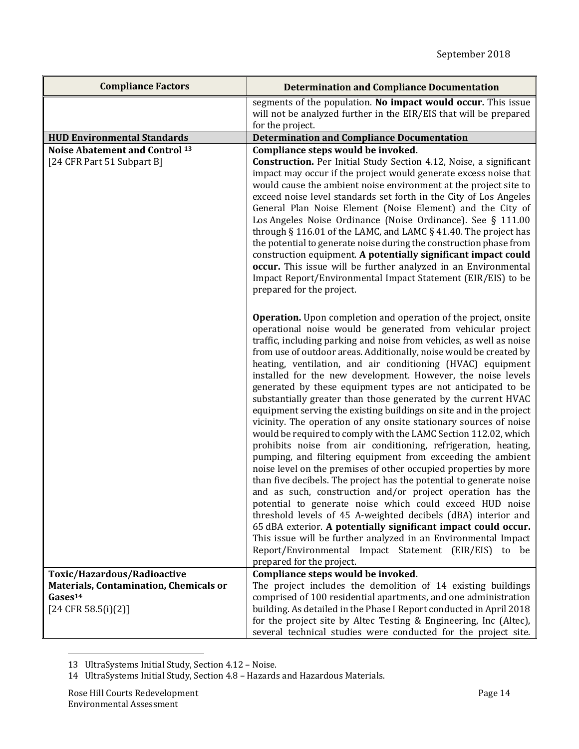| <b>Compliance Factors</b>                                                                                             | <b>Determination and Compliance Documentation</b>                                                                                                                                                                                                                                                                                                                                                                                                                                                                                                                                                                                                                                                                                                                                                                                                                                                                                                                                                                                                                                                                                                                                                                                                                                                                                                                                                                                                                       |
|-----------------------------------------------------------------------------------------------------------------------|-------------------------------------------------------------------------------------------------------------------------------------------------------------------------------------------------------------------------------------------------------------------------------------------------------------------------------------------------------------------------------------------------------------------------------------------------------------------------------------------------------------------------------------------------------------------------------------------------------------------------------------------------------------------------------------------------------------------------------------------------------------------------------------------------------------------------------------------------------------------------------------------------------------------------------------------------------------------------------------------------------------------------------------------------------------------------------------------------------------------------------------------------------------------------------------------------------------------------------------------------------------------------------------------------------------------------------------------------------------------------------------------------------------------------------------------------------------------------|
|                                                                                                                       | segments of the population. No impact would occur. This issue                                                                                                                                                                                                                                                                                                                                                                                                                                                                                                                                                                                                                                                                                                                                                                                                                                                                                                                                                                                                                                                                                                                                                                                                                                                                                                                                                                                                           |
|                                                                                                                       | will not be analyzed further in the EIR/EIS that will be prepared                                                                                                                                                                                                                                                                                                                                                                                                                                                                                                                                                                                                                                                                                                                                                                                                                                                                                                                                                                                                                                                                                                                                                                                                                                                                                                                                                                                                       |
| <b>HUD Environmental Standards</b>                                                                                    | for the project.<br><b>Determination and Compliance Documentation</b>                                                                                                                                                                                                                                                                                                                                                                                                                                                                                                                                                                                                                                                                                                                                                                                                                                                                                                                                                                                                                                                                                                                                                                                                                                                                                                                                                                                                   |
| <b>Noise Abatement and Control 13</b>                                                                                 | Compliance steps would be invoked.                                                                                                                                                                                                                                                                                                                                                                                                                                                                                                                                                                                                                                                                                                                                                                                                                                                                                                                                                                                                                                                                                                                                                                                                                                                                                                                                                                                                                                      |
| [24 CFR Part 51 Subpart B]                                                                                            | <b>Construction.</b> Per Initial Study Section 4.12, Noise, a significant<br>impact may occur if the project would generate excess noise that<br>would cause the ambient noise environment at the project site to<br>exceed noise level standards set forth in the City of Los Angeles<br>General Plan Noise Element (Noise Element) and the City of<br>Los Angeles Noise Ordinance (Noise Ordinance). See § 111.00<br>through § 116.01 of the LAMC, and LAMC § 41.40. The project has<br>the potential to generate noise during the construction phase from<br>construction equipment. A potentially significant impact could<br>occur. This issue will be further analyzed in an Environmental<br>Impact Report/Environmental Impact Statement (EIR/EIS) to be<br>prepared for the project.                                                                                                                                                                                                                                                                                                                                                                                                                                                                                                                                                                                                                                                                           |
|                                                                                                                       | <b>Operation.</b> Upon completion and operation of the project, onsite<br>operational noise would be generated from vehicular project<br>traffic, including parking and noise from vehicles, as well as noise<br>from use of outdoor areas. Additionally, noise would be created by<br>heating, ventilation, and air conditioning (HVAC) equipment<br>installed for the new development. However, the noise levels<br>generated by these equipment types are not anticipated to be<br>substantially greater than those generated by the current HVAC<br>equipment serving the existing buildings on site and in the project<br>vicinity. The operation of any onsite stationary sources of noise<br>would be required to comply with the LAMC Section 112.02, which<br>prohibits noise from air conditioning, refrigeration, heating,<br>pumping, and filtering equipment from exceeding the ambient<br>noise level on the premises of other occupied properties by more<br>than five decibels. The project has the potential to generate noise<br>and as such, construction and/or project operation has the<br>potential to generate noise which could exceed HUD noise<br>threshold levels of 45 A-weighted decibels (dBA) interior and<br>65 dBA exterior. A potentially significant impact could occur.<br>This issue will be further analyzed in an Environmental Impact<br>Report/Environmental Impact Statement (EIR/EIS)<br>to be<br>prepared for the project. |
| Toxic/Hazardous/Radioactive<br>Materials, Contamination, Chemicals or<br>Gases <sup>14</sup><br>$[24$ CFR 58.5(i)(2)] | Compliance steps would be invoked.<br>The project includes the demolition of 14 existing buildings<br>comprised of 100 residential apartments, and one administration<br>building. As detailed in the Phase I Report conducted in April 2018<br>for the project site by Altec Testing & Engineering, Inc (Altec),<br>several technical studies were conducted for the project site.                                                                                                                                                                                                                                                                                                                                                                                                                                                                                                                                                                                                                                                                                                                                                                                                                                                                                                                                                                                                                                                                                     |

<sup>&</sup>lt;u> 1989 - Johann Stein, fransk politik (d. 1989)</u> 13 UltraSystems Initial Study, Section 4.12 - Noise.

<sup>14</sup> UltraSystems Initial Study, Section 4.8 - Hazards and Hazardous Materials.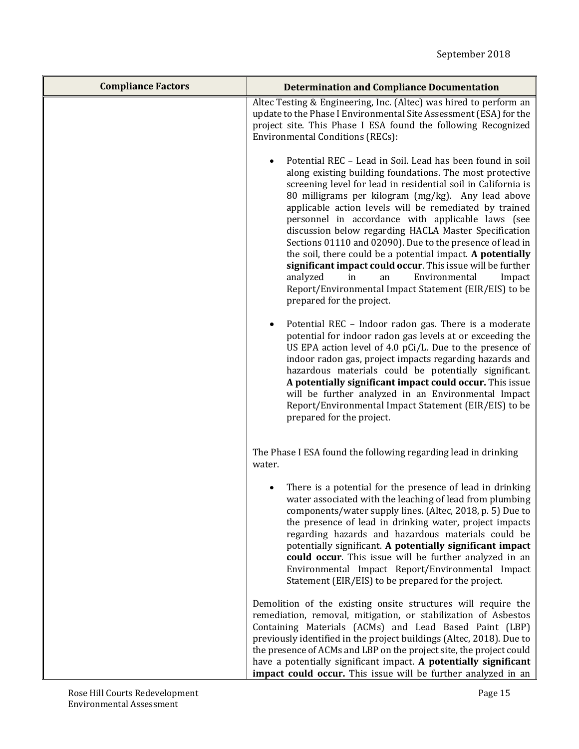| <b>Compliance Factors</b> | <b>Determination and Compliance Documentation</b>                                                                                                                                                                                                                                                                                                                                                                                                                                                                                                                                                                                                                                                                                                      |
|---------------------------|--------------------------------------------------------------------------------------------------------------------------------------------------------------------------------------------------------------------------------------------------------------------------------------------------------------------------------------------------------------------------------------------------------------------------------------------------------------------------------------------------------------------------------------------------------------------------------------------------------------------------------------------------------------------------------------------------------------------------------------------------------|
|                           | Altec Testing & Engineering, Inc. (Altec) was hired to perform an<br>update to the Phase I Environmental Site Assessment (ESA) for the<br>project site. This Phase I ESA found the following Recognized<br>Environmental Conditions (RECs):                                                                                                                                                                                                                                                                                                                                                                                                                                                                                                            |
|                           | Potential REC - Lead in Soil. Lead has been found in soil<br>along existing building foundations. The most protective<br>screening level for lead in residential soil in California is<br>80 milligrams per kilogram (mg/kg). Any lead above<br>applicable action levels will be remediated by trained<br>personnel in accordance with applicable laws (see<br>discussion below regarding HACLA Master Specification<br>Sections 01110 and 02090). Due to the presence of lead in<br>the soil, there could be a potential impact. A potentially<br>significant impact could occur. This issue will be further<br>Environmental<br>analyzed<br>in<br>Impact<br>an<br>Report/Environmental Impact Statement (EIR/EIS) to be<br>prepared for the project. |
|                           | Potential REC - Indoor radon gas. There is a moderate<br>potential for indoor radon gas levels at or exceeding the<br>US EPA action level of 4.0 pCi/L. Due to the presence of<br>indoor radon gas, project impacts regarding hazards and<br>hazardous materials could be potentially significant.<br>A potentially significant impact could occur. This issue<br>will be further analyzed in an Environmental Impact<br>Report/Environmental Impact Statement (EIR/EIS) to be<br>prepared for the project.                                                                                                                                                                                                                                            |
|                           | The Phase I ESA found the following regarding lead in drinking<br>water.                                                                                                                                                                                                                                                                                                                                                                                                                                                                                                                                                                                                                                                                               |
|                           | There is a potential for the presence of lead in drinking<br>water associated with the leaching of lead from plumbing<br>components/water supply lines. (Altec, 2018, p. 5) Due to<br>the presence of lead in drinking water, project impacts<br>regarding hazards and hazardous materials could be<br>potentially significant. A potentially significant impact<br>could occur. This issue will be further analyzed in an<br>Environmental Impact Report/Environmental Impact<br>Statement (EIR/EIS) to be prepared for the project.                                                                                                                                                                                                                  |
|                           | Demolition of the existing onsite structures will require the<br>remediation, removal, mitigation, or stabilization of Asbestos<br>Containing Materials (ACMs) and Lead Based Paint (LBP)<br>previously identified in the project buildings (Altec, 2018). Due to<br>the presence of ACMs and LBP on the project site, the project could<br>have a potentially significant impact. A potentially significant<br>impact could occur. This issue will be further analyzed in an                                                                                                                                                                                                                                                                          |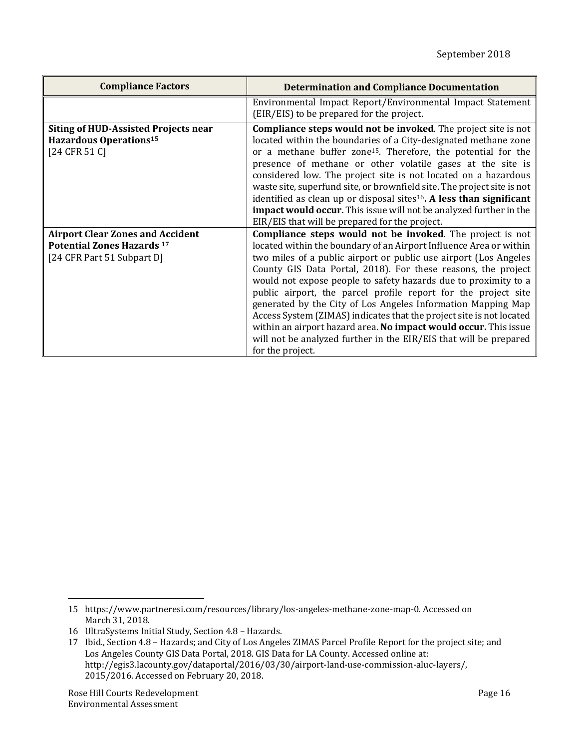| <b>Compliance Factors</b>                                                                                  | <b>Determination and Compliance Documentation</b>                                                                                                                                                                                                                                                                                                                                                                                                                                                                                                                                                                                                                                                              |
|------------------------------------------------------------------------------------------------------------|----------------------------------------------------------------------------------------------------------------------------------------------------------------------------------------------------------------------------------------------------------------------------------------------------------------------------------------------------------------------------------------------------------------------------------------------------------------------------------------------------------------------------------------------------------------------------------------------------------------------------------------------------------------------------------------------------------------|
|                                                                                                            | Environmental Impact Report/Environmental Impact Statement<br>(EIR/EIS) to be prepared for the project.                                                                                                                                                                                                                                                                                                                                                                                                                                                                                                                                                                                                        |
| <b>Siting of HUD-Assisted Projects near</b><br>Hazardous Operations <sup>15</sup><br>[24 CFR 51 C]         | <b>Compliance steps would not be invoked.</b> The project site is not<br>located within the boundaries of a City-designated methane zone<br>or a methane buffer zone <sup>15</sup> . Therefore, the potential for the<br>presence of methane or other volatile gases at the site is<br>considered low. The project site is not located on a hazardous<br>waste site, superfund site, or brownfield site. The project site is not<br>identified as clean up or disposal sites <sup>16</sup> . A less than significant<br>impact would occur. This issue will not be analyzed further in the<br>EIR/EIS that will be prepared for the project.                                                                   |
| <b>Airport Clear Zones and Accident</b><br><b>Potential Zones Hazards 17</b><br>[24 CFR Part 51 Subpart D] | Compliance steps would not be invoked. The project is not<br>located within the boundary of an Airport Influence Area or within<br>two miles of a public airport or public use airport (Los Angeles<br>County GIS Data Portal, 2018). For these reasons, the project<br>would not expose people to safety hazards due to proximity to a<br>public airport, the parcel profile report for the project site<br>generated by the City of Los Angeles Information Mapping Map<br>Access System (ZIMAS) indicates that the project site is not located<br>within an airport hazard area. No impact would occur. This issue<br>will not be analyzed further in the EIR/EIS that will be prepared<br>for the project. |

<sup>15</sup> https://www.partneresi.com/resources/library/los-angeles-methane-zone-map-0. Accessed on March 31, 2018.

<sup>16</sup> UltraSystems Initial Study, Section 4.8 - Hazards.

<sup>17</sup> Ibid., Section 4.8 - Hazards; and City of Los Angeles ZIMAS Parcel Profile Report for the project site; and Los Angeles County GIS Data Portal, 2018. GIS Data for LA County. Accessed online at: http://egis3.lacounty.gov/dataportal/2016/03/30/airport‐land‐use‐commission‐aluc‐layers/, 2015/2016. Accessed on February 20, 2018.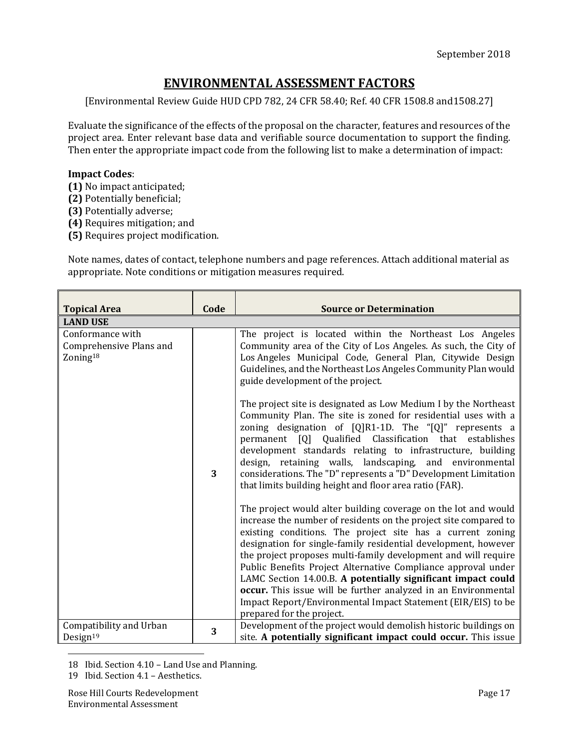# **ENVIRONMENTAL ASSESSMENT FACTORS**

[Environmental Review Guide HUD CPD 782, 24 CFR 58.40; Ref. 40 CFR 1508.8 and1508.27]

Evaluate the significance of the effects of the proposal on the character, features and resources of the project area. Enter relevant base data and verifiable source documentation to support the finding. Then enter the appropriate impact code from the following list to make a determination of impact:

### **Impact Codes**:

- **(1)** No impact anticipated;
- **(2)** Potentially beneficial;
- **(3)** Potentially adverse;
- **(4)** Requires mitigation; and
- **(5)** Requires project modification.

Note names, dates of contact, telephone numbers and page references. Attach additional material as appropriate. Note conditions or mitigation measures required.

| <b>Topical Area</b>                                                 | Code | <b>Source or Determination</b>                                                                                                                                                                                                                                                                                                                                                                                                                                                                                                                                                                                                       |
|---------------------------------------------------------------------|------|--------------------------------------------------------------------------------------------------------------------------------------------------------------------------------------------------------------------------------------------------------------------------------------------------------------------------------------------------------------------------------------------------------------------------------------------------------------------------------------------------------------------------------------------------------------------------------------------------------------------------------------|
| <b>LAND USE</b>                                                     |      |                                                                                                                                                                                                                                                                                                                                                                                                                                                                                                                                                                                                                                      |
| Conformance with<br>Comprehensive Plans and<br>Zoning <sup>18</sup> |      | The project is located within the Northeast Los Angeles<br>Community area of the City of Los Angeles. As such, the City of<br>Los Angeles Municipal Code, General Plan, Citywide Design<br>Guidelines, and the Northeast Los Angeles Community Plan would<br>guide development of the project.<br>The project site is designated as Low Medium I by the Northeast                                                                                                                                                                                                                                                                    |
|                                                                     | 3    | Community Plan. The site is zoned for residential uses with a<br>zoning designation of $[Q]R1-1D$ . The " $[Q]$ " represents a<br>permanent [Q] Qualified Classification that establishes<br>development standards relating to infrastructure, building<br>design, retaining walls, landscaping, and environmental<br>considerations. The "D" represents a "D" Development Limitation<br>that limits building height and floor area ratio (FAR).                                                                                                                                                                                     |
|                                                                     |      | The project would alter building coverage on the lot and would<br>increase the number of residents on the project site compared to<br>existing conditions. The project site has a current zoning<br>designation for single-family residential development, however<br>the project proposes multi-family development and will require<br>Public Benefits Project Alternative Compliance approval under<br>LAMC Section 14.00.B. A potentially significant impact could<br>occur. This issue will be further analyzed in an Environmental<br>Impact Report/Environmental Impact Statement (EIR/EIS) to be<br>prepared for the project. |
| Compatibility and Urban<br>Design $19$                              | 3    | Development of the project would demolish historic buildings on<br>site. A potentially significant impact could occur. This issue                                                                                                                                                                                                                                                                                                                                                                                                                                                                                                    |

<sup>&</sup>lt;u> 1989 - Johann Stein, fransk politik (d. 1989)</u> 18 Ibid. Section 4.10 – Land Use and Planning.

<sup>19</sup> Ibid. Section 4.1 - Aesthetics.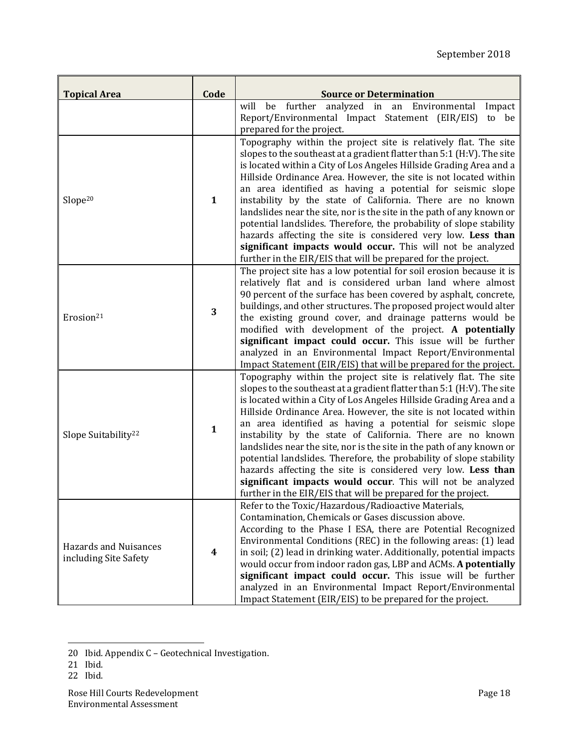| <b>Topical Area</b>                            | Code             | <b>Source or Determination</b><br>further<br>analyzed in an Environmental<br>will<br>Impact<br>be                                                                                                                                                                                                                                                                                                                                                                                                                                                                                                                                                                                                                                                               |
|------------------------------------------------|------------------|-----------------------------------------------------------------------------------------------------------------------------------------------------------------------------------------------------------------------------------------------------------------------------------------------------------------------------------------------------------------------------------------------------------------------------------------------------------------------------------------------------------------------------------------------------------------------------------------------------------------------------------------------------------------------------------------------------------------------------------------------------------------|
|                                                |                  | Report/Environmental Impact Statement (EIR/EIS)<br>to be                                                                                                                                                                                                                                                                                                                                                                                                                                                                                                                                                                                                                                                                                                        |
|                                                |                  | prepared for the project.                                                                                                                                                                                                                                                                                                                                                                                                                                                                                                                                                                                                                                                                                                                                       |
| Slope <sup>20</sup>                            | $\mathbf{1}$     | Topography within the project site is relatively flat. The site<br>slopes to the southeast at a gradient flatter than 5:1 (H:V). The site<br>is located within a City of Los Angeles Hillside Grading Area and a<br>Hillside Ordinance Area. However, the site is not located within<br>an area identified as having a potential for seismic slope<br>instability by the state of California. There are no known<br>landslides near the site, nor is the site in the path of any known or<br>potential landslides. Therefore, the probability of slope stability<br>hazards affecting the site is considered very low. Less than<br>significant impacts would occur. This will not be analyzed<br>further in the EIR/EIS that will be prepared for the project. |
| Erosion <sup>21</sup>                          | 3                | The project site has a low potential for soil erosion because it is<br>relatively flat and is considered urban land where almost<br>90 percent of the surface has been covered by asphalt, concrete,<br>buildings, and other structures. The proposed project would alter<br>the existing ground cover, and drainage patterns would be<br>modified with development of the project. A potentially<br>significant impact could occur. This issue will be further<br>analyzed in an Environmental Impact Report/Environmental<br>Impact Statement (EIR/EIS) that will be prepared for the project.                                                                                                                                                                |
| Slope Suitability <sup>22</sup>                | $\mathbf{1}$     | Topography within the project site is relatively flat. The site<br>slopes to the southeast at a gradient flatter than 5:1 (H:V). The site<br>is located within a City of Los Angeles Hillside Grading Area and a<br>Hillside Ordinance Area. However, the site is not located within<br>an area identified as having a potential for seismic slope<br>instability by the state of California. There are no known<br>landslides near the site, nor is the site in the path of any known or<br>potential landslides. Therefore, the probability of slope stability<br>hazards affecting the site is considered very low. Less than<br>significant impacts would occur. This will not be analyzed<br>further in the EIR/EIS that will be prepared for the project. |
| Hazards and Nuisances<br>including Site Safety | $\boldsymbol{4}$ | Refer to the Toxic/Hazardous/Radioactive Materials,<br>Contamination, Chemicals or Gases discussion above.<br>According to the Phase I ESA, there are Potential Recognized<br>Environmental Conditions (REC) in the following areas: (1) lead<br>in soil; (2) lead in drinking water. Additionally, potential impacts<br>would occur from indoor radon gas, LBP and ACMs. A potentially<br>significant impact could occur. This issue will be further<br>analyzed in an Environmental Impact Report/Environmental<br>Impact Statement (EIR/EIS) to be prepared for the project.                                                                                                                                                                                 |

22 Ibid.

<sup>20</sup> Ibid. Appendix C - Geotechnical Investigation.

<sup>21</sup> Ibid.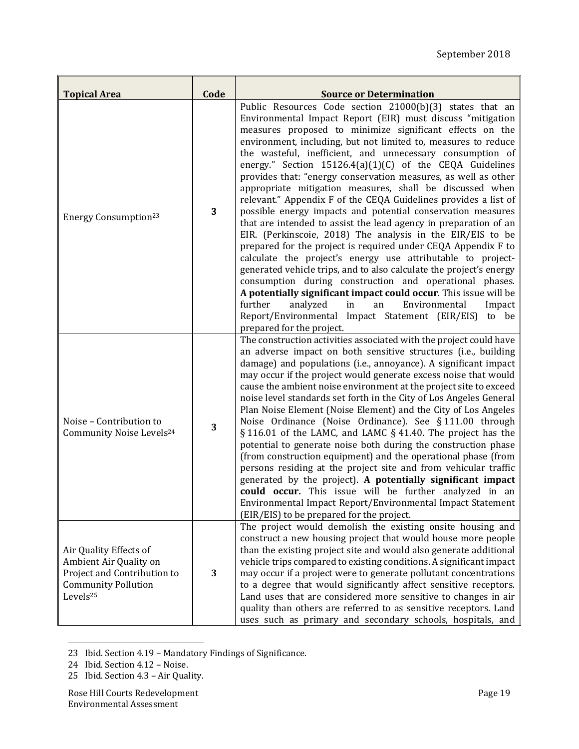| <b>Topical Area</b>                                                                                                                   | Code | <b>Source or Determination</b>                                                                                                                                                                                                                                                                                                                                                                                                                                                                                                                                                                                                                                                                                                                                                                                                                                                                                                                                                                                                                                                                                                                                                                                                                                            |
|---------------------------------------------------------------------------------------------------------------------------------------|------|---------------------------------------------------------------------------------------------------------------------------------------------------------------------------------------------------------------------------------------------------------------------------------------------------------------------------------------------------------------------------------------------------------------------------------------------------------------------------------------------------------------------------------------------------------------------------------------------------------------------------------------------------------------------------------------------------------------------------------------------------------------------------------------------------------------------------------------------------------------------------------------------------------------------------------------------------------------------------------------------------------------------------------------------------------------------------------------------------------------------------------------------------------------------------------------------------------------------------------------------------------------------------|
| <b>Energy Consumption</b> <sup>23</sup>                                                                                               | 3    | Public Resources Code section 21000(b)(3) states that an<br>Environmental Impact Report (EIR) must discuss "mitigation<br>measures proposed to minimize significant effects on the<br>environment, including, but not limited to, measures to reduce<br>the wasteful, inefficient, and unnecessary consumption of<br>energy." Section 15126.4(a)(1)(C) of the CEQA Guidelines<br>provides that: "energy conservation measures, as well as other<br>appropriate mitigation measures, shall be discussed when<br>relevant." Appendix F of the CEQA Guidelines provides a list of<br>possible energy impacts and potential conservation measures<br>that are intended to assist the lead agency in preparation of an<br>EIR. (Perkinscoie, 2018) The analysis in the EIR/EIS to be<br>prepared for the project is required under CEQA Appendix F to<br>calculate the project's energy use attributable to project-<br>generated vehicle trips, and to also calculate the project's energy<br>consumption during construction and operational phases.<br>A potentially significant impact could occur. This issue will be<br>further<br>analyzed<br>Environmental<br>Impact<br>in<br>an<br>Report/Environmental Impact Statement (EIR/EIS) to be<br>prepared for the project. |
| Noise - Contribution to<br>Community Noise Levels <sup>24</sup>                                                                       | 3    | The construction activities associated with the project could have<br>an adverse impact on both sensitive structures (i.e., building<br>damage) and populations (i.e., annoyance). A significant impact<br>may occur if the project would generate excess noise that would<br>cause the ambient noise environment at the project site to exceed<br>noise level standards set forth in the City of Los Angeles General<br>Plan Noise Element (Noise Element) and the City of Los Angeles<br>Noise Ordinance (Noise Ordinance). See § 111.00 through<br>§116.01 of the LAMC, and LAMC §41.40. The project has the<br>potential to generate noise both during the construction phase<br>(from construction equipment) and the operational phase (from<br>persons residing at the project site and from vehicular traffic<br>generated by the project). A potentially significant impact<br>could occur. This issue will be further analyzed in an<br>Environmental Impact Report/Environmental Impact Statement<br>(EIR/EIS) to be prepared for the project.                                                                                                                                                                                                                 |
| Air Quality Effects of<br>Ambient Air Quality on<br>Project and Contribution to<br><b>Community Pollution</b><br>Levels <sup>25</sup> | 3    | The project would demolish the existing onsite housing and<br>construct a new housing project that would house more people<br>than the existing project site and would also generate additional<br>vehicle trips compared to existing conditions. A significant impact<br>may occur if a project were to generate pollutant concentrations<br>to a degree that would significantly affect sensitive receptors.<br>Land uses that are considered more sensitive to changes in air<br>quality than others are referred to as sensitive receptors. Land<br>uses such as primary and secondary schools, hospitals, and                                                                                                                                                                                                                                                                                                                                                                                                                                                                                                                                                                                                                                                        |

<sup>23</sup> Ibid. Section 4.19 - Mandatory Findings of Significance.

<sup>24</sup> Ibid. Section 4.12 - Noise.

<sup>25</sup> Ibid. Section 4.3 - Air Quality.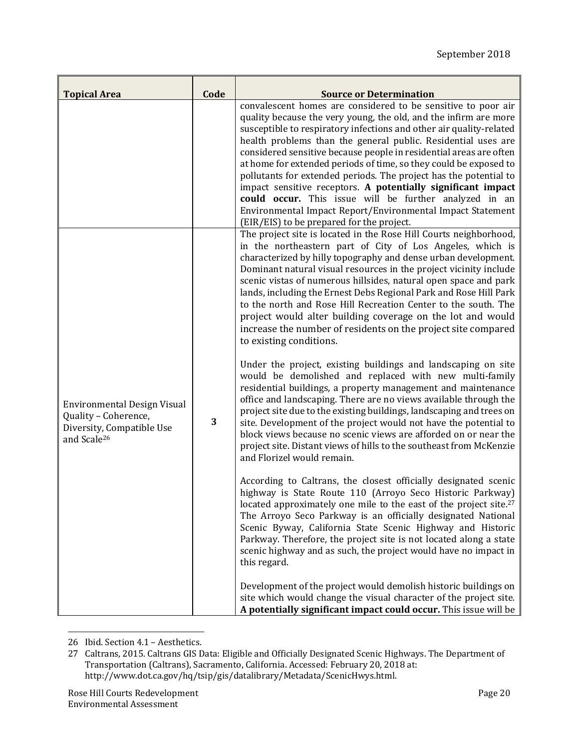| <b>Topical Area</b>                                                                                                | Code | <b>Source or Determination</b>                                                                                                                                                                                                                                                                                                                                                                                                                                                                                                                                                                                                                                                                                                                                                                                                                                                                                                                                                                                                                                                                                                                                                                                                                                                                                                                                                                                                                                                                                                                                                                                                                                                                                                                                                                                                                                               |
|--------------------------------------------------------------------------------------------------------------------|------|------------------------------------------------------------------------------------------------------------------------------------------------------------------------------------------------------------------------------------------------------------------------------------------------------------------------------------------------------------------------------------------------------------------------------------------------------------------------------------------------------------------------------------------------------------------------------------------------------------------------------------------------------------------------------------------------------------------------------------------------------------------------------------------------------------------------------------------------------------------------------------------------------------------------------------------------------------------------------------------------------------------------------------------------------------------------------------------------------------------------------------------------------------------------------------------------------------------------------------------------------------------------------------------------------------------------------------------------------------------------------------------------------------------------------------------------------------------------------------------------------------------------------------------------------------------------------------------------------------------------------------------------------------------------------------------------------------------------------------------------------------------------------------------------------------------------------------------------------------------------------|
|                                                                                                                    |      | convalescent homes are considered to be sensitive to poor air<br>quality because the very young, the old, and the infirm are more<br>susceptible to respiratory infections and other air quality-related<br>health problems than the general public. Residential uses are<br>considered sensitive because people in residential areas are often<br>at home for extended periods of time, so they could be exposed to<br>pollutants for extended periods. The project has the potential to<br>impact sensitive receptors. A potentially significant impact<br>could occur. This issue will be further analyzed in an<br>Environmental Impact Report/Environmental Impact Statement<br>(EIR/EIS) to be prepared for the project.                                                                                                                                                                                                                                                                                                                                                                                                                                                                                                                                                                                                                                                                                                                                                                                                                                                                                                                                                                                                                                                                                                                                               |
| <b>Environmental Design Visual</b><br>Quality - Coherence,<br>Diversity, Compatible Use<br>and Scale <sup>26</sup> | 3    | The project site is located in the Rose Hill Courts neighborhood,<br>in the northeastern part of City of Los Angeles, which is<br>characterized by hilly topography and dense urban development.<br>Dominant natural visual resources in the project vicinity include<br>scenic vistas of numerous hillsides, natural open space and park<br>lands, including the Ernest Debs Regional Park and Rose Hill Park<br>to the north and Rose Hill Recreation Center to the south. The<br>project would alter building coverage on the lot and would<br>increase the number of residents on the project site compared<br>to existing conditions.<br>Under the project, existing buildings and landscaping on site<br>would be demolished and replaced with new multi-family<br>residential buildings, a property management and maintenance<br>office and landscaping. There are no views available through the<br>project site due to the existing buildings, landscaping and trees on<br>site. Development of the project would not have the potential to<br>block views because no scenic views are afforded on or near the<br>project site. Distant views of hills to the southeast from McKenzie<br>and Florizel would remain.<br>According to Caltrans, the closest officially designated scenic<br>highway is State Route 110 (Arroyo Seco Historic Parkway)<br>located approximately one mile to the east of the project site. <sup>27</sup><br>The Arroyo Seco Parkway is an officially designated National<br>Scenic Byway, California State Scenic Highway and Historic<br>Parkway. Therefore, the project site is not located along a state<br>scenic highway and as such, the project would have no impact in<br>this regard.<br>Development of the project would demolish historic buildings on<br>site which would change the visual character of the project site. |

 26 Ibid. Section 4.1 - Aesthetics.

<sup>27</sup> Caltrans, 2015. Caltrans GIS Data: Eligible and Officially Designated Scenic Highways. The Department of Transportation (Caltrans), Sacramento, California. Accessed: February 20, 2018 at: http://www.dot.ca.gov/hq/tsip/gis/datalibrary/Metadata/ScenicHwys.html.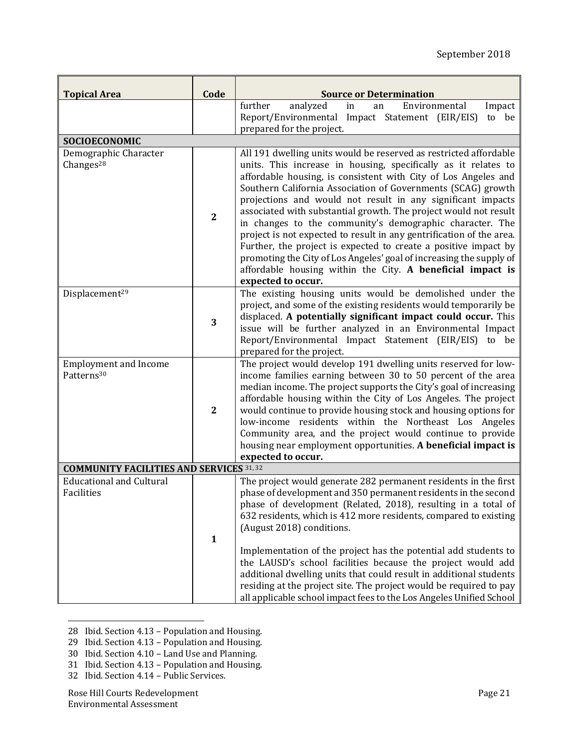| <b>Topical Area</b>                                    | Code           | <b>Source or Determination</b>                                                                                                                                                                                                                                                                                                                                                                                                                                                                                                                                                                                                                                                                                                                                             |
|--------------------------------------------------------|----------------|----------------------------------------------------------------------------------------------------------------------------------------------------------------------------------------------------------------------------------------------------------------------------------------------------------------------------------------------------------------------------------------------------------------------------------------------------------------------------------------------------------------------------------------------------------------------------------------------------------------------------------------------------------------------------------------------------------------------------------------------------------------------------|
|                                                        |                | further<br>analyzed<br>Environmental<br>Impact<br>in<br>an<br>Report/Environmental Impact Statement (EIR/EIS)<br>to be<br>prepared for the project.                                                                                                                                                                                                                                                                                                                                                                                                                                                                                                                                                                                                                        |
| SOCIOECONOMIC                                          |                |                                                                                                                                                                                                                                                                                                                                                                                                                                                                                                                                                                                                                                                                                                                                                                            |
| Demographic Character<br>Changes <sup>28</sup>         | $\overline{2}$ | All 191 dwelling units would be reserved as restricted affordable<br>units. This increase in housing, specifically as it relates to<br>affordable housing, is consistent with City of Los Angeles and<br>Southern California Association of Governments (SCAG) growth<br>projections and would not result in any significant impacts<br>associated with substantial growth. The project would not result<br>in changes to the community's demographic character. The<br>project is not expected to result in any gentrification of the area.<br>Further, the project is expected to create a positive impact by<br>promoting the City of Los Angeles' goal of increasing the supply of<br>affordable housing within the City. A beneficial impact is<br>expected to occur. |
| Displacement <sup>29</sup>                             | 3              | The existing housing units would be demolished under the<br>project, and some of the existing residents would temporarily be<br>displaced. A potentially significant impact could occur. This<br>issue will be further analyzed in an Environmental Impact<br>Report/Environmental Impact Statement (EIR/EIS)<br>to be<br>prepared for the project.                                                                                                                                                                                                                                                                                                                                                                                                                        |
| <b>Employment and Income</b><br>Patterns <sup>30</sup> | $\overline{2}$ | The project would develop 191 dwelling units reserved for low-<br>income families earning between 30 to 50 percent of the area<br>median income. The project supports the City's goal of increasing<br>affordable housing within the City of Los Angeles. The project<br>would continue to provide housing stock and housing options for<br>low-income residents within the Northeast Los Angeles<br>Community area, and the project would continue to provide<br>housing near employment opportunities. A beneficial impact is<br>expected to occur.                                                                                                                                                                                                                      |
| <b>COMMUNITY FACILITIES AND SERVICES 31, 32</b>        |                |                                                                                                                                                                                                                                                                                                                                                                                                                                                                                                                                                                                                                                                                                                                                                                            |
| <b>Educational and Cultural</b><br>Facilities          | $\mathbf{1}$   | The project would generate 282 permanent residents in the first<br>phase of development and 350 permanent residents in the second<br>phase of development (Related, 2018), resulting in a total of<br>632 residents, which is 412 more residents, compared to existing<br>(August 2018) conditions.<br>Implementation of the project has the potential add students to<br>the LAUSD's school facilities because the project would add<br>additional dwelling units that could result in additional students<br>residing at the project site. The project would be required to pay<br>all applicable school impact fees to the Los Angeles Unified School                                                                                                                   |

- <u> 1989 Johann Stein, fransk politik (d. 1989)</u> 28 Ibid. Section 4.13 - Population and Housing.
- 29 Ibid. Section 4.13 Population and Housing.
- 30 Ibid. Section  $4.10 -$  Land Use and Planning.
- 31 Ibid. Section 4.13 Population and Housing.
- 32 Ibid. Section 4.14 Public Services.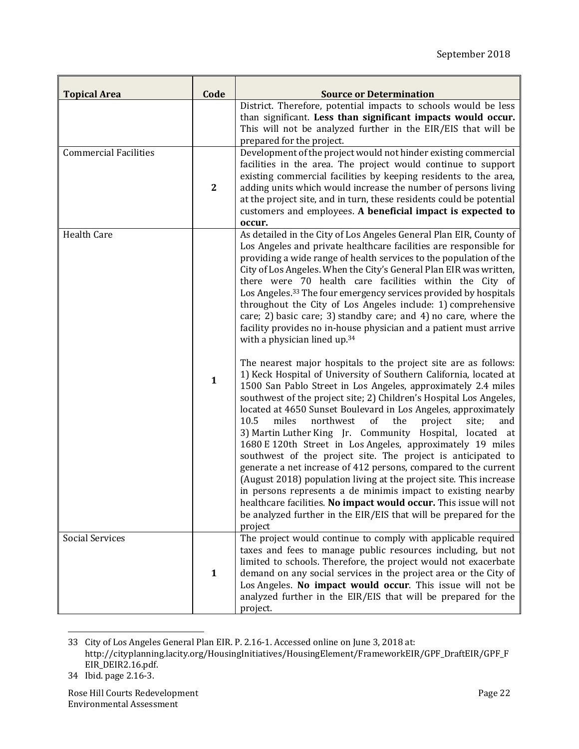| <b>Topical Area</b>          | Code         | <b>Source or Determination</b>                                                                                                                                                                                                                                                                                                                                                                                                                                                                                                                                                                                                                                                                                                                                                                                                                                                                                                                                             |
|------------------------------|--------------|----------------------------------------------------------------------------------------------------------------------------------------------------------------------------------------------------------------------------------------------------------------------------------------------------------------------------------------------------------------------------------------------------------------------------------------------------------------------------------------------------------------------------------------------------------------------------------------------------------------------------------------------------------------------------------------------------------------------------------------------------------------------------------------------------------------------------------------------------------------------------------------------------------------------------------------------------------------------------|
|                              |              | District. Therefore, potential impacts to schools would be less<br>than significant. Less than significant impacts would occur.<br>This will not be analyzed further in the EIR/EIS that will be<br>prepared for the project.                                                                                                                                                                                                                                                                                                                                                                                                                                                                                                                                                                                                                                                                                                                                              |
| <b>Commercial Facilities</b> | $\mathbf{2}$ | Development of the project would not hinder existing commercial<br>facilities in the area. The project would continue to support<br>existing commercial facilities by keeping residents to the area,<br>adding units which would increase the number of persons living<br>at the project site, and in turn, these residents could be potential<br>customers and employees. A beneficial impact is expected to<br>occur.                                                                                                                                                                                                                                                                                                                                                                                                                                                                                                                                                    |
| <b>Health Care</b>           |              | As detailed in the City of Los Angeles General Plan EIR, County of<br>Los Angeles and private healthcare facilities are responsible for<br>providing a wide range of health services to the population of the<br>City of Los Angeles. When the City's General Plan EIR was written,<br>there were 70 health care facilities within the City of<br>Los Angeles. <sup>33</sup> The four emergency services provided by hospitals<br>throughout the City of Los Angeles include: 1) comprehensive<br>care; 2) basic care; 3) standby care; and 4) no care, where the<br>facility provides no in-house physician and a patient must arrive<br>with a physician lined up. <sup>34</sup>                                                                                                                                                                                                                                                                                         |
|                              | $\mathbf{1}$ | The nearest major hospitals to the project site are as follows:<br>1) Keck Hospital of University of Southern California, located at<br>1500 San Pablo Street in Los Angeles, approximately 2.4 miles<br>southwest of the project site; 2) Children's Hospital Los Angeles,<br>located at 4650 Sunset Boulevard in Los Angeles, approximately<br>10.5<br>of<br>northwest<br>the<br>miles<br>project<br>site;<br>and<br>3) Martin Luther King Jr. Community Hospital, located at<br>1680 E 120th Street in Los Angeles, approximately 19 miles<br>southwest of the project site. The project is anticipated to<br>generate a net increase of 412 persons, compared to the current<br>(August 2018) population living at the project site. This increase<br>in persons represents a de minimis impact to existing nearby<br>healthcare facilities. No impact would occur. This issue will not<br>be analyzed further in the EIR/EIS that will be prepared for the<br>project |
| <b>Social Services</b>       | $\mathbf{1}$ | The project would continue to comply with applicable required<br>taxes and fees to manage public resources including, but not<br>limited to schools. Therefore, the project would not exacerbate<br>demand on any social services in the project area or the City of<br>Los Angeles. No impact would occur. This issue will not be<br>analyzed further in the EIR/EIS that will be prepared for the<br>project.                                                                                                                                                                                                                                                                                                                                                                                                                                                                                                                                                            |

 33 City of Los Angeles General Plan EIR. P. 2.16-1. Accessed online on June 3, 2018 at: http://cityplanning.lacity.org/HousingInitiatives/HousingElement/FrameworkEIR/GPF\_DraftEIR/GPF\_F EIR\_DEIR2.16.pdf.

<sup>34</sup> Ibid. page 2.16-3.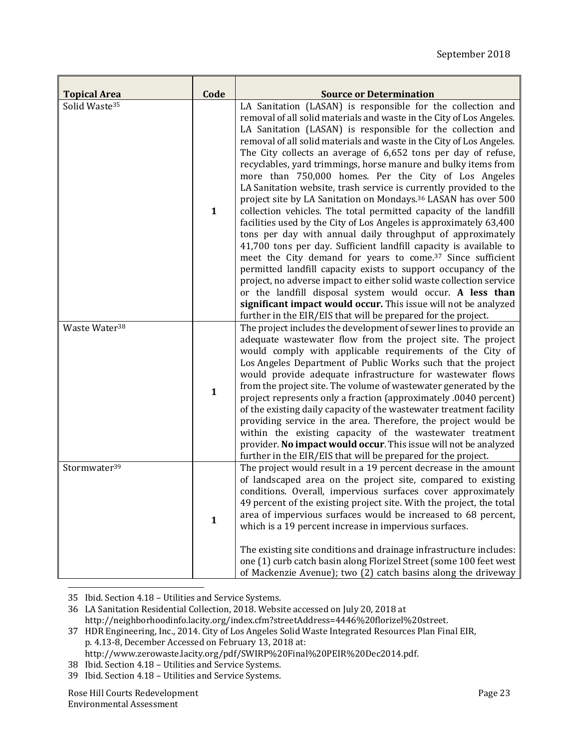| <b>Topical Area</b>       | Code         | <b>Source or Determination</b>                                                                                                                                                                                                                                                                                                                                                                                                                                                                                                                                                                                                                                                                                                                                                                                                                                                                                                                                                                                                                                                                                                                                                                                                                                                                                            |
|---------------------------|--------------|---------------------------------------------------------------------------------------------------------------------------------------------------------------------------------------------------------------------------------------------------------------------------------------------------------------------------------------------------------------------------------------------------------------------------------------------------------------------------------------------------------------------------------------------------------------------------------------------------------------------------------------------------------------------------------------------------------------------------------------------------------------------------------------------------------------------------------------------------------------------------------------------------------------------------------------------------------------------------------------------------------------------------------------------------------------------------------------------------------------------------------------------------------------------------------------------------------------------------------------------------------------------------------------------------------------------------|
| Solid Waste <sup>35</sup> | $\mathbf{1}$ | LA Sanitation (LASAN) is responsible for the collection and<br>removal of all solid materials and waste in the City of Los Angeles.<br>LA Sanitation (LASAN) is responsible for the collection and<br>removal of all solid materials and waste in the City of Los Angeles.<br>The City collects an average of 6,652 tons per day of refuse,<br>recyclables, yard trimmings, horse manure and bulky items from<br>more than 750,000 homes. Per the City of Los Angeles<br>LA Sanitation website, trash service is currently provided to the<br>project site by LA Sanitation on Mondays. <sup>36</sup> LASAN has over 500<br>collection vehicles. The total permitted capacity of the landfill<br>facilities used by the City of Los Angeles is approximately 63,400<br>tons per day with annual daily throughput of approximately<br>41,700 tons per day. Sufficient landfill capacity is available to<br>meet the City demand for years to come. <sup>37</sup> Since sufficient<br>permitted landfill capacity exists to support occupancy of the<br>project, no adverse impact to either solid waste collection service<br>or the landfill disposal system would occur. A less than<br>significant impact would occur. This issue will not be analyzed<br>further in the EIR/EIS that will be prepared for the project. |
| Waste Water <sup>38</sup> | $\mathbf{1}$ | The project includes the development of sewer lines to provide an<br>adequate wastewater flow from the project site. The project<br>would comply with applicable requirements of the City of<br>Los Angeles Department of Public Works such that the project<br>would provide adequate infrastructure for wastewater flows<br>from the project site. The volume of wastewater generated by the<br>project represents only a fraction (approximately .0040 percent)<br>of the existing daily capacity of the wastewater treatment facility<br>providing service in the area. Therefore, the project would be<br>within the existing capacity of the wastewater treatment<br>provider. No impact would occur. This issue will not be analyzed<br>further in the EIR/EIS that will be prepared for the project.                                                                                                                                                                                                                                                                                                                                                                                                                                                                                                              |
| Stormwater <sup>39</sup>  | $\mathbf{1}$ | The project would result in a 19 percent decrease in the amount<br>of landscaped area on the project site, compared to existing<br>conditions. Overall, impervious surfaces cover approximately<br>49 percent of the existing project site. With the project, the total<br>area of impervious surfaces would be increased to 68 percent,<br>which is a 19 percent increase in impervious surfaces.<br>The existing site conditions and drainage infrastructure includes:<br>one (1) curb catch basin along Florizel Street (some 100 feet west<br>of Mackenzie Avenue); two (2) catch basins along the driveway                                                                                                                                                                                                                                                                                                                                                                                                                                                                                                                                                                                                                                                                                                           |

 35 Ibid. Section 4.18 - Utilities and Service Systems.

- 38 Ibid. Section 4.18 Utilities and Service Systems.
- 39 Ibid. Section 4.18 Utilities and Service Systems.

<sup>36</sup> LA Sanitation Residential Collection, 2018. Website accessed on July 20, 2018 at http://neighborhoodinfo.lacity.org/index.cfm?streetAddress=4446%20florizel%20street. 

<sup>37</sup> HDR Engineering, Inc., 2014. City of Los Angeles Solid Waste Integrated Resources Plan Final EIR, p. 4.13-8, December Accessed on February 13, 2018 at: http://www.zerowaste.lacity.org/pdf/SWIRP%20Final%20PEIR%20Dec2014.pdf.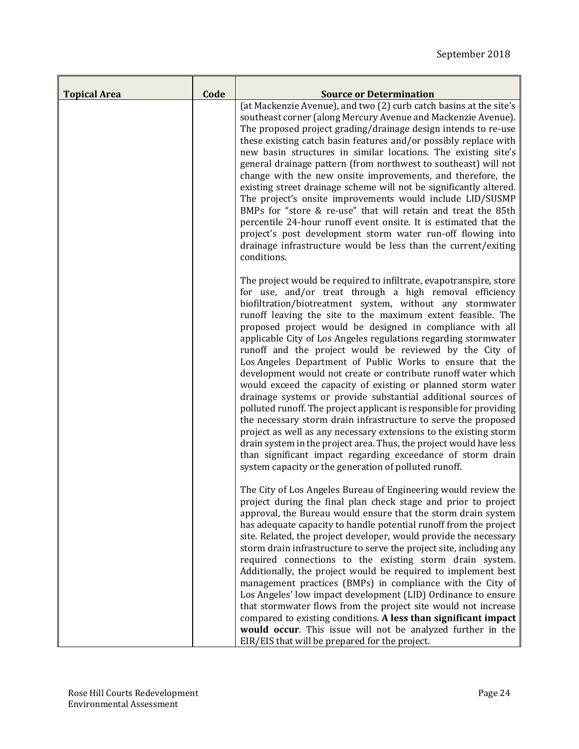| <b>Topical Area</b> | Code | <b>Source or Determination</b>                                                                                                                                                                                                                                                                                                                                                                                                                                                                                                                                                                                                                                                                                                                                                                                                                                                                                                                                                                                                                                                                                                   |
|---------------------|------|----------------------------------------------------------------------------------------------------------------------------------------------------------------------------------------------------------------------------------------------------------------------------------------------------------------------------------------------------------------------------------------------------------------------------------------------------------------------------------------------------------------------------------------------------------------------------------------------------------------------------------------------------------------------------------------------------------------------------------------------------------------------------------------------------------------------------------------------------------------------------------------------------------------------------------------------------------------------------------------------------------------------------------------------------------------------------------------------------------------------------------|
|                     |      | (at Mackenzie Avenue), and two (2) curb catch basins at the site's<br>southeast corner (along Mercury Avenue and Mackenzie Avenue).<br>The proposed project grading/drainage design intends to re-use<br>these existing catch basin features and/or possibly replace with<br>new basin structures in similar locations. The existing site's<br>general drainage pattern (from northwest to southeast) will not<br>change with the new onsite improvements, and therefore, the<br>existing street drainage scheme will not be significantly altered.<br>The project's onsite improvements would include LID/SUSMP<br>BMPs for "store & re-use" that will retain and treat the 85th<br>percentile 24-hour runoff event onsite. It is estimated that the<br>project's post development storm water run-off flowing into<br>drainage infrastructure would be less than the current/exiting<br>conditions.                                                                                                                                                                                                                            |
|                     |      | The project would be required to infiltrate, evapotranspire, store<br>for use, and/or treat through a high removal efficiency<br>biofiltration/biotreatment system, without any stormwater<br>runoff leaving the site to the maximum extent feasible. The<br>proposed project would be designed in compliance with all<br>applicable City of Los Angeles regulations regarding stormwater<br>runoff and the project would be reviewed by the City of<br>Los Angeles Department of Public Works to ensure that the<br>development would not create or contribute runoff water which<br>would exceed the capacity of existing or planned storm water<br>drainage systems or provide substantial additional sources of<br>polluted runoff. The project applicant is responsible for providing<br>the necessary storm drain infrastructure to serve the proposed<br>project as well as any necessary extensions to the existing storm<br>drain system in the project area. Thus, the project would have less<br>than significant impact regarding exceedance of storm drain<br>system capacity or the generation of polluted runoff. |
|                     |      | The City of Los Angeles Bureau of Engineering would review the<br>project during the final plan check stage and prior to project<br>approval, the Bureau would ensure that the storm drain system<br>has adequate capacity to handle potential runoff from the project<br>site. Related, the project developer, would provide the necessary<br>storm drain infrastructure to serve the project site, including any<br>required connections to the existing storm drain system.<br>Additionally, the project would be required to implement best<br>management practices (BMPs) in compliance with the City of<br>Los Angeles' low impact development (LID) Ordinance to ensure<br>that stormwater flows from the project site would not increase<br>compared to existing conditions. A less than significant impact<br>would occur. This issue will not be analyzed further in the<br>EIR/EIS that will be prepared for the project.                                                                                                                                                                                             |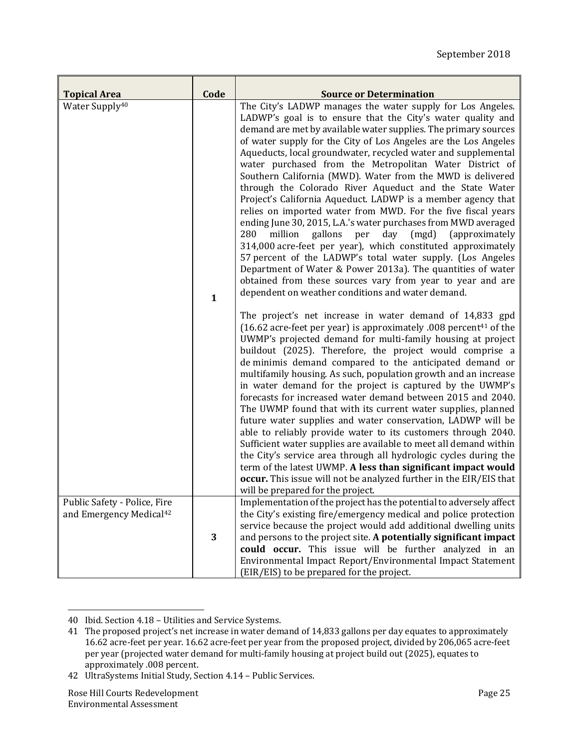|                                                                     | Code         | <b>Source or Determination</b>                                                                                                                                                                                                                                                                                                                                                                                                                                                                                                                                                                                                                                                                                                                                                                                                                                                                                                                                                                                                                                                                                                                                                                                                                         |
|---------------------------------------------------------------------|--------------|--------------------------------------------------------------------------------------------------------------------------------------------------------------------------------------------------------------------------------------------------------------------------------------------------------------------------------------------------------------------------------------------------------------------------------------------------------------------------------------------------------------------------------------------------------------------------------------------------------------------------------------------------------------------------------------------------------------------------------------------------------------------------------------------------------------------------------------------------------------------------------------------------------------------------------------------------------------------------------------------------------------------------------------------------------------------------------------------------------------------------------------------------------------------------------------------------------------------------------------------------------|
| <b>Topical Area</b>                                                 |              |                                                                                                                                                                                                                                                                                                                                                                                                                                                                                                                                                                                                                                                                                                                                                                                                                                                                                                                                                                                                                                                                                                                                                                                                                                                        |
| Water Supply <sup>40</sup>                                          | $\mathbf{1}$ | The City's LADWP manages the water supply for Los Angeles.<br>LADWP's goal is to ensure that the City's water quality and<br>demand are met by available water supplies. The primary sources<br>of water supply for the City of Los Angeles are the Los Angeles<br>Aqueducts, local groundwater, recycled water and supplemental<br>water purchased from the Metropolitan Water District of<br>Southern California (MWD). Water from the MWD is delivered<br>through the Colorado River Aqueduct and the State Water<br>Project's California Aqueduct. LADWP is a member agency that<br>relies on imported water from MWD. For the five fiscal years<br>ending June 30, 2015, L.A.'s water purchases from MWD averaged<br>280<br>million<br>gallons per<br>day<br>(mgd)<br>(approximately<br>314,000 acre-feet per year), which constituted approximately<br>57 percent of the LADWP's total water supply. (Los Angeles<br>Department of Water & Power 2013a). The quantities of water<br>obtained from these sources vary from year to year and are<br>dependent on weather conditions and water demand.<br>The project's net increase in water demand of 14,833 gpd<br>(16.62 acre-feet per year) is approximately .008 percent <sup>41</sup> of the |
|                                                                     |              | UWMP's projected demand for multi-family housing at project<br>buildout (2025). Therefore, the project would comprise a<br>de minimis demand compared to the anticipated demand or<br>multifamily housing. As such, population growth and an increase<br>in water demand for the project is captured by the UWMP's<br>forecasts for increased water demand between 2015 and 2040.<br>The UWMP found that with its current water supplies, planned<br>future water supplies and water conservation, LADWP will be<br>able to reliably provide water to its customers through 2040.<br>Sufficient water supplies are available to meet all demand within<br>the City's service area through all hydrologic cycles during the<br>term of the latest UWMP. A less than significant impact would<br>occur. This issue will not be analyzed further in the EIR/EIS that<br>will be prepared for the project.                                                                                                                                                                                                                                                                                                                                                 |
| Public Safety - Police, Fire<br>and Emergency Medical <sup>42</sup> | 3            | Implementation of the project has the potential to adversely affect<br>the City's existing fire/emergency medical and police protection<br>service because the project would add additional dwelling units<br>and persons to the project site. A potentially significant impact<br>could occur. This issue will be further analyzed in an                                                                                                                                                                                                                                                                                                                                                                                                                                                                                                                                                                                                                                                                                                                                                                                                                                                                                                              |
|                                                                     |              | Environmental Impact Report/Environmental Impact Statement<br>(EIR/EIS) to be prepared for the project.                                                                                                                                                                                                                                                                                                                                                                                                                                                                                                                                                                                                                                                                                                                                                                                                                                                                                                                                                                                                                                                                                                                                                |

<sup>40</sup> Ibid. Section 4.18 - Utilities and Service Systems.

<u> 1989 - Johann Stein, fransk politik (d. 1989)</u>

<sup>41</sup> The proposed project's net increase in water demand of 14,833 gallons per day equates to approximately 16.62 acre-feet per year. 16.62 acre-feet per year from the proposed project, divided by 206,065 acre-feet per year (projected water demand for multi-family housing at project build out (2025), equates to approximately .008 percent.

<sup>42</sup> UltraSystems Initial Study, Section 4.14 - Public Services.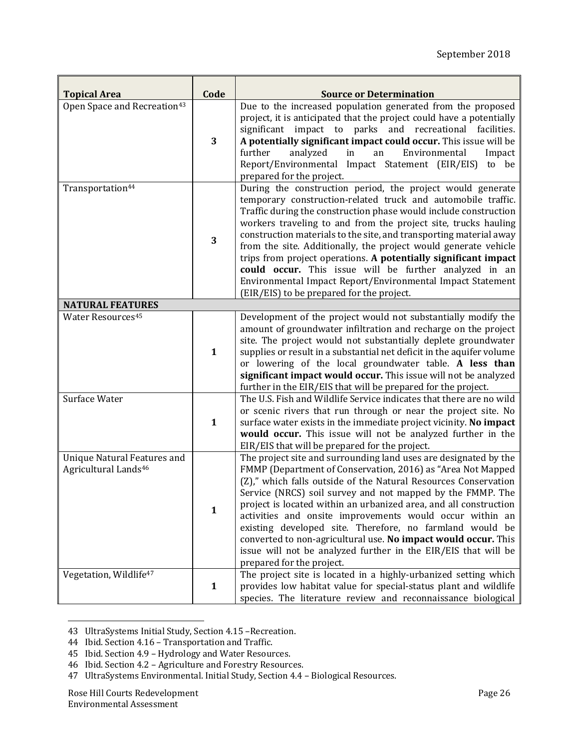| <b>Topical Area</b>                                                    | Code         | <b>Source or Determination</b>                                                                                                                                                                                                                                                                                                                                                                                                                                                                                                                                                                                                                    |
|------------------------------------------------------------------------|--------------|---------------------------------------------------------------------------------------------------------------------------------------------------------------------------------------------------------------------------------------------------------------------------------------------------------------------------------------------------------------------------------------------------------------------------------------------------------------------------------------------------------------------------------------------------------------------------------------------------------------------------------------------------|
| Open Space and Recreation <sup>43</sup>                                | 3            | Due to the increased population generated from the proposed<br>project, it is anticipated that the project could have a potentially<br>significant impact to parks and recreational facilities.<br>A potentially significant impact could occur. This issue will be<br>further<br>analyzed<br>Environmental<br>in<br>an<br>Impact<br>Report/Environmental Impact Statement (EIR/EIS)<br>to be<br>prepared for the project.                                                                                                                                                                                                                        |
| Transportation <sup>44</sup>                                           | 3            | During the construction period, the project would generate<br>temporary construction-related truck and automobile traffic.<br>Traffic during the construction phase would include construction<br>workers traveling to and from the project site, trucks hauling<br>construction materials to the site, and transporting material away<br>from the site. Additionally, the project would generate vehicle<br>trips from project operations. A potentially significant impact<br>could occur. This issue will be further analyzed in an<br>Environmental Impact Report/Environmental Impact Statement<br>(EIR/EIS) to be prepared for the project. |
| <b>NATURAL FEATURES</b>                                                |              |                                                                                                                                                                                                                                                                                                                                                                                                                                                                                                                                                                                                                                                   |
| <b>Water Resources45</b>                                               | $\mathbf{1}$ | Development of the project would not substantially modify the<br>amount of groundwater infiltration and recharge on the project<br>site. The project would not substantially deplete groundwater<br>supplies or result in a substantial net deficit in the aquifer volume<br>or lowering of the local groundwater table. A less than<br>significant impact would occur. This issue will not be analyzed<br>further in the EIR/EIS that will be prepared for the project.                                                                                                                                                                          |
| Surface Water                                                          | $\mathbf{1}$ | The U.S. Fish and Wildlife Service indicates that there are no wild<br>or scenic rivers that run through or near the project site. No<br>surface water exists in the immediate project vicinity. No impact<br>would occur. This issue will not be analyzed further in the<br>EIR/EIS that will be prepared for the project.                                                                                                                                                                                                                                                                                                                       |
| <b>Unique Natural Features and</b><br>Agricultural Lands <sup>46</sup> | $\mathbf{1}$ | The project site and surrounding land uses are designated by the<br>FMMP (Department of Conservation, 2016) as "Area Not Mapped<br>(Z)," which falls outside of the Natural Resources Conservation<br>Service (NRCS) soil survey and not mapped by the FMMP. The<br>project is located within an urbanized area, and all construction<br>activities and onsite improvements would occur within an<br>existing developed site. Therefore, no farmland would be<br>converted to non-agricultural use. No impact would occur. This<br>issue will not be analyzed further in the EIR/EIS that will be<br>prepared for the project.                    |
| Vegetation, Wildlife <sup>47</sup>                                     | $\mathbf{1}$ | The project site is located in a highly-urbanized setting which<br>provides low habitat value for special-status plant and wildlife<br>species. The literature review and reconnaissance biological                                                                                                                                                                                                                                                                                                                                                                                                                                               |

<sup>&</sup>lt;u> 1989 - Johann Stein, fransk politik (d. 1989)</u> 43 UltraSystems Initial Study, Section 4.15 -Recreation.

<sup>44</sup> Ibid. Section 4.16 - Transportation and Traffic.

<sup>45</sup> Ibid. Section 4.9 - Hydrology and Water Resources.

<sup>46</sup> Ibid. Section 4.2 - Agriculture and Forestry Resources.

<sup>47</sup> UltraSystems Environmental. Initial Study, Section 4.4 - Biological Resources.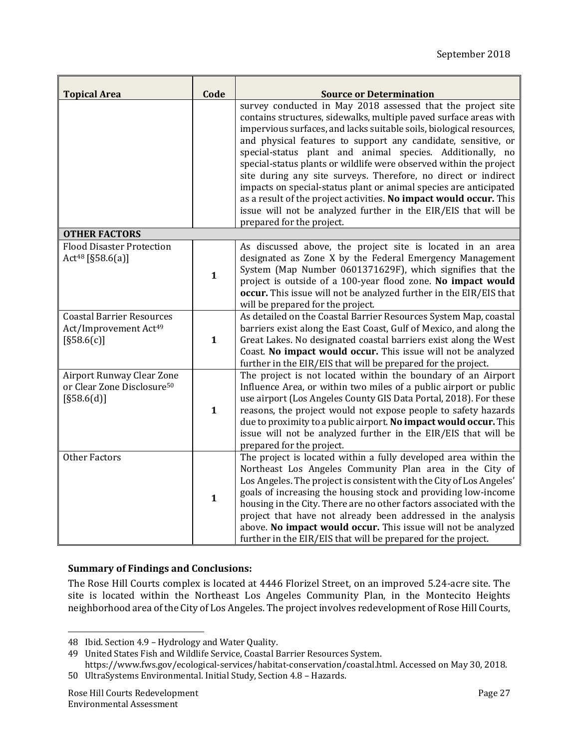| <b>Topical Area</b>                                                                 | Code         | <b>Source or Determination</b>                                                                                                                                                                                                                                                                                                                                                                                                                                                                                                                                                                                                                                                                                           |
|-------------------------------------------------------------------------------------|--------------|--------------------------------------------------------------------------------------------------------------------------------------------------------------------------------------------------------------------------------------------------------------------------------------------------------------------------------------------------------------------------------------------------------------------------------------------------------------------------------------------------------------------------------------------------------------------------------------------------------------------------------------------------------------------------------------------------------------------------|
|                                                                                     |              | survey conducted in May 2018 assessed that the project site<br>contains structures, sidewalks, multiple paved surface areas with<br>impervious surfaces, and lacks suitable soils, biological resources,<br>and physical features to support any candidate, sensitive, or<br>special-status plant and animal species. Additionally, no<br>special-status plants or wildlife were observed within the project<br>site during any site surveys. Therefore, no direct or indirect<br>impacts on special-status plant or animal species are anticipated<br>as a result of the project activities. No impact would occur. This<br>issue will not be analyzed further in the EIR/EIS that will be<br>prepared for the project. |
| <b>OTHER FACTORS</b>                                                                |              |                                                                                                                                                                                                                                                                                                                                                                                                                                                                                                                                                                                                                                                                                                                          |
| <b>Flood Disaster Protection</b><br>Act <sup>48</sup> [§58.6(a)]                    | $\mathbf{1}$ | As discussed above, the project site is located in an area<br>designated as Zone X by the Federal Emergency Management<br>System (Map Number 0601371629F), which signifies that the<br>project is outside of a 100-year flood zone. No impact would<br>occur. This issue will not be analyzed further in the EIR/EIS that<br>will be prepared for the project.                                                                                                                                                                                                                                                                                                                                                           |
| <b>Coastal Barrier Resources</b><br>Act/Improvement Act <sup>49</sup><br>[§58.6(c)] | $\mathbf{1}$ | As detailed on the Coastal Barrier Resources System Map, coastal<br>barriers exist along the East Coast, Gulf of Mexico, and along the<br>Great Lakes. No designated coastal barriers exist along the West<br>Coast. No impact would occur. This issue will not be analyzed<br>further in the EIR/EIS that will be prepared for the project.                                                                                                                                                                                                                                                                                                                                                                             |
| Airport Runway Clear Zone<br>or Clear Zone Disclosure <sup>50</sup><br>[§58.6(d)]   | $\mathbf{1}$ | The project is not located within the boundary of an Airport<br>Influence Area, or within two miles of a public airport or public<br>use airport (Los Angeles County GIS Data Portal, 2018). For these<br>reasons, the project would not expose people to safety hazards<br>due to proximity to a public airport. No impact would occur. This<br>issue will not be analyzed further in the EIR/EIS that will be<br>prepared for the project.                                                                                                                                                                                                                                                                             |
| <b>Other Factors</b>                                                                | $\mathbf{1}$ | The project is located within a fully developed area within the<br>Northeast Los Angeles Community Plan area in the City of<br>Los Angeles. The project is consistent with the City of Los Angeles'<br>goals of increasing the housing stock and providing low-income<br>housing in the City. There are no other factors associated with the<br>project that have not already been addressed in the analysis<br>above. No impact would occur. This issue will not be analyzed<br>further in the EIR/EIS that will be prepared for the project.                                                                                                                                                                           |

### **Summary of Findings and Conclusions:**

The Rose Hill Courts complex is located at 4446 Florizel Street, on an improved 5.24-acre site. The site is located within the Northeast Los Angeles Community Plan, in the Montecito Heights neighborhood area of the City of Los Angeles. The project involves redevelopment of Rose Hill Courts,

<sup>48</sup> Ibid. Section 4.9 - Hydrology and Water Quality.

<sup>49</sup> United States Fish and Wildlife Service, Coastal Barrier Resources System.

https://www.fws.gov/ecological-services/habitat-conservation/coastal.html. Accessed on May 30, 2018.

<sup>50</sup> UltraSystems Environmental. Initial Study, Section 4.8 - Hazards.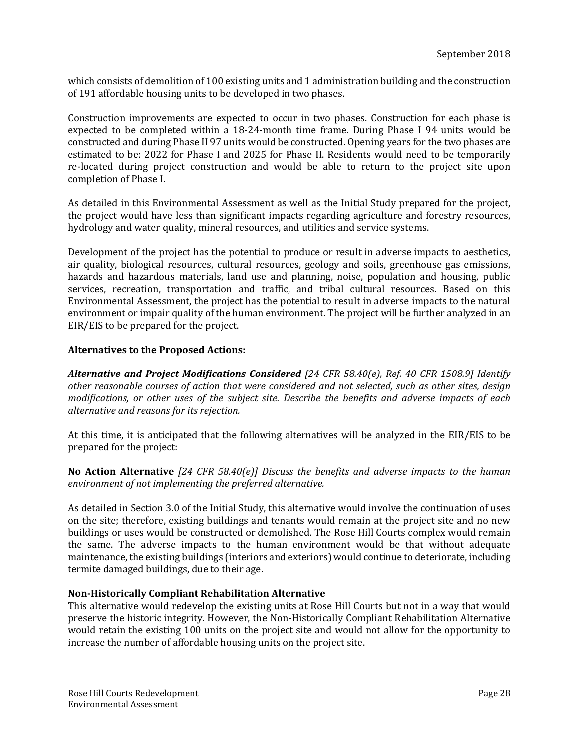which consists of demolition of 100 existing units and 1 administration building and the construction of 191 affordable housing units to be developed in two phases.

Construction improvements are expected to occur in two phases. Construction for each phase is expected to be completed within a 18-24-month time frame. During Phase I 94 units would be constructed and during Phase II 97 units would be constructed. Opening years for the two phases are estimated to be: 2022 for Phase I and 2025 for Phase II. Residents would need to be temporarily re-located during project construction and would be able to return to the project site upon completion of Phase I.

As detailed in this Environmental Assessment as well as the Initial Study prepared for the project, the project would have less than significant impacts regarding agriculture and forestry resources, hydrology and water quality, mineral resources, and utilities and service systems.

Development of the project has the potential to produce or result in adverse impacts to aesthetics, air quality, biological resources, cultural resources, geology and soils, greenhouse gas emissions, hazards and hazardous materials, land use and planning, noise, population and housing, public services, recreation, transportation and traffic, and tribal cultural resources. Based on this Environmental Assessment, the project has the potential to result in adverse impacts to the natural environment or impair quality of the human environment. The project will be further analyzed in an EIR/EIS to be prepared for the project.

### **Alternatives to the Proposed Actions:**

*Alternative and Project Modifications Considered [24 CFR 58.40(e), Ref. 40 CFR 1508.9] Identify other reasonable courses of action that were considered and not selected, such as other sites, design modifications, or other uses of the subject site. Describe the benefits and adverse impacts of each alternative and reasons for its rejection.*

At this time, it is anticipated that the following alternatives will be analyzed in the EIR/EIS to be prepared for the project:

**No Action Alternative** *[24 CFR 58.40(e)] Discuss the benefits and adverse impacts to the human environment of not implementing the preferred alternative.*

As detailed in Section 3.0 of the Initial Study, this alternative would involve the continuation of uses on the site; therefore, existing buildings and tenants would remain at the project site and no new buildings or uses would be constructed or demolished. The Rose Hill Courts complex would remain the same. The adverse impacts to the human environment would be that without adequate maintenance, the existing buildings (interiors and exteriors) would continue to deteriorate, including termite damaged buildings, due to their age.

#### **Non‐Historically Compliant Rehabilitation Alternative**

This alternative would redevelop the existing units at Rose Hill Courts but not in a way that would preserve the historic integrity. However, the Non-Historically Compliant Rehabilitation Alternative would retain the existing 100 units on the project site and would not allow for the opportunity to increase the number of affordable housing units on the project site.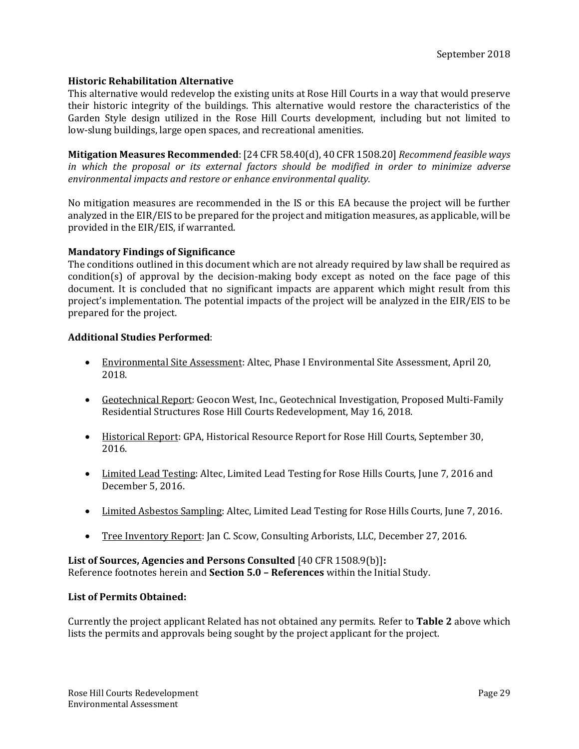### **Historic Rehabilitation Alternative**

This alternative would redevelop the existing units at Rose Hill Courts in a way that would preserve their historic integrity of the buildings. This alternative would restore the characteristics of the Garden Style design utilized in the Rose Hill Courts development, including but not limited to low-slung buildings, large open spaces, and recreational amenities.

**Mitigation Measures Recommended**: [24 CFR 58.40(d), 40 CFR 1508.20] *Recommend feasible ways in which the proposal or its external factors should be modified in order to minimize adverse environmental impacts and restore or enhance environmental quality.*

No mitigation measures are recommended in the IS or this EA because the project will be further analyzed in the  $EIR/EIS$  to be prepared for the project and mitigation measures, as applicable, will be provided in the EIR/EIS, if warranted.

#### **Mandatory Findings of Significance**

The conditions outlined in this document which are not already required by law shall be required as condition(s) of approval by the decision-making body except as noted on the face page of this document. It is concluded that no significant impacts are apparent which might result from this project's implementation. The potential impacts of the project will be analyzed in the EIR/EIS to be prepared for the project.

### **Additional Studies Performed**:

- Environmental Site Assessment: Altec, Phase I Environmental Site Assessment, April 20, 2018.
- Geotechnical Report: Geocon West, Inc., Geotechnical Investigation, Proposed Multi-Family Residential Structures Rose Hill Courts Redevelopment, May 16, 2018.
- Historical Report: GPA, Historical Resource Report for Rose Hill Courts, September 30, 2016.
- Limited Lead Testing: Altec, Limited Lead Testing for Rose Hills Courts, June 7, 2016 and December 5, 2016.
- Limited Asbestos Sampling: Altec, Limited Lead Testing for Rose Hills Courts, June 7, 2016.
- Tree Inventory Report: Jan C. Scow, Consulting Arborists, LLC, December 27, 2016.

### **List of Sources, Agencies and Persons Consulted** [40 CFR 1508.9(b)]**:** Reference footnotes herein and **Section 5.0 - References** within the Initial Study.

#### **List of Permits Obtained:**

Currently the project applicant Related has not obtained any permits. Refer to **Table 2** above which lists the permits and approvals being sought by the project applicant for the project.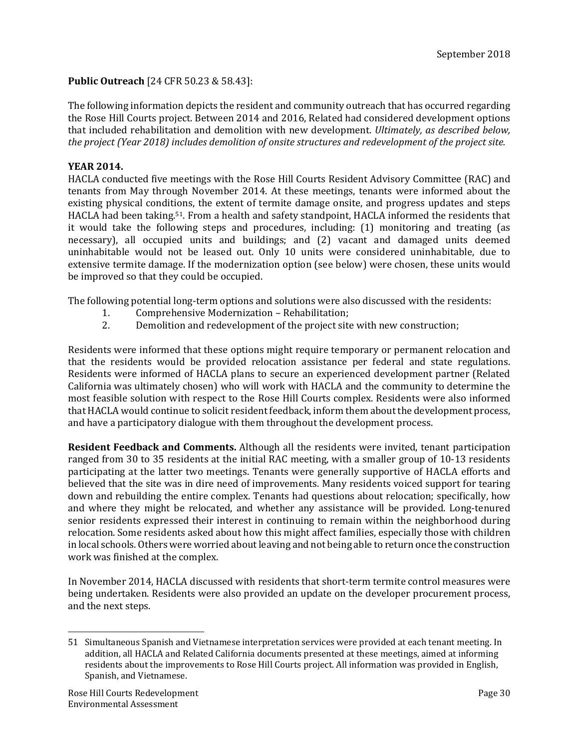### **Public Outreach** [24 CFR 50.23 & 58.43]:

The following information depicts the resident and community outreach that has occurred regarding the Rose Hill Courts project. Between 2014 and 2016, Related had considered development options that included rehabilitation and demolition with new development. *Ultimately, as described below, the project (Year 2018) includes demolition of onsite structures and redevelopment of the project site.*

### **YEAR 2014.**

HACLA conducted five meetings with the Rose Hill Courts Resident Advisory Committee (RAC) and tenants from May through November 2014. At these meetings, tenants were informed about the existing physical conditions, the extent of termite damage onsite, and progress updates and steps HACLA had been taking.<sup>51</sup>. From a health and safety standpoint, HACLA informed the residents that it would take the following steps and procedures, including:  $(1)$  monitoring and treating (as necessary), all occupied units and buildings; and (2) vacant and damaged units deemed uninhabitable would not be leased out. Only 10 units were considered uninhabitable, due to extensive termite damage. If the modernization option (see below) were chosen, these units would be improved so that they could be occupied.

The following potential long-term options and solutions were also discussed with the residents:

- 1. Comprehensive Modernization Rehabilitation;
- 2. Demolition and redevelopment of the project site with new construction;

Residents were informed that these options might require temporary or permanent relocation and that the residents would be provided relocation assistance per federal and state regulations. Residents were informed of HACLA plans to secure an experienced development partner (Related California was ultimately chosen) who will work with HACLA and the community to determine the most feasible solution with respect to the Rose Hill Courts complex. Residents were also informed that HACLA would continue to solicit resident feedback, inform them about the development process, and have a participatory dialogue with them throughout the development process.

**Resident Feedback and Comments.** Although all the residents were invited, tenant participation ranged from 30 to 35 residents at the initial RAC meeting, with a smaller group of 10-13 residents participating at the latter two meetings. Tenants were generally supportive of HACLA efforts and believed that the site was in dire need of improvements. Many residents voiced support for tearing down and rebuilding the entire complex. Tenants had questions about relocation; specifically, how and where they might be relocated, and whether any assistance will be provided. Long-tenured senior residents expressed their interest in continuing to remain within the neighborhood during relocation. Some residents asked about how this might affect families, especially those with children in local schools. Others were worried about leaving and not being able to return once the construction work was finished at the complex.

In November 2014, HACLA discussed with residents that short-term termite control measures were being undertaken. Residents were also provided an update on the developer procurement process, and the next steps.

<sup>51</sup> Simultaneous Spanish and Vietnamese interpretation services were provided at each tenant meeting. In addition, all HACLA and Related California documents presented at these meetings, aimed at informing residents about the improvements to Rose Hill Courts project. All information was provided in English, Spanish, and Vietnamese.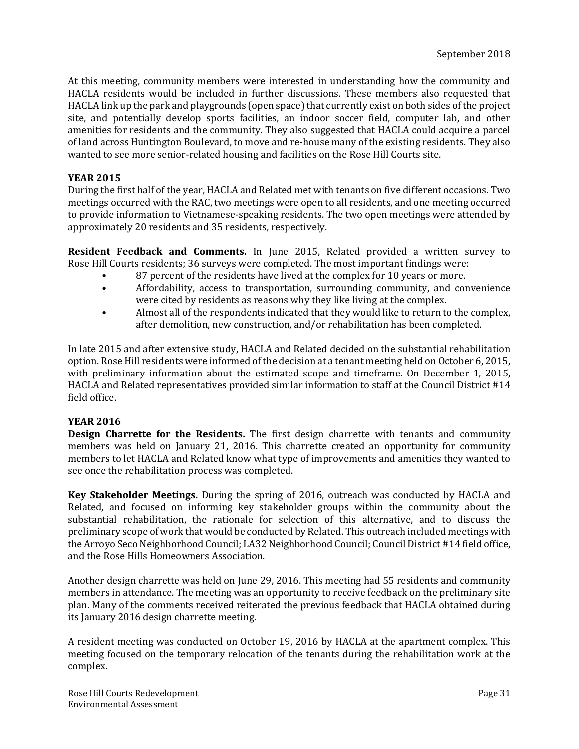At this meeting, community members were interested in understanding how the community and HACLA residents would be included in further discussions. These members also requested that HACLA link up the park and playgrounds (open space) that currently exist on both sides of the project site, and potentially develop sports facilities, an indoor soccer field, computer lab, and other amenities for residents and the community. They also suggested that HACLA could acquire a parcel of land across Huntington Boulevard, to move and re-house many of the existing residents. They also wanted to see more senior-related housing and facilities on the Rose Hill Courts site.

#### **YEAR 2015**

During the first half of the year, HACLA and Related met with tenants on five different occasions. Two meetings occurred with the RAC, two meetings were open to all residents, and one meeting occurred to provide information to Vietnamese-speaking residents. The two open meetings were attended by approximately 20 residents and 35 residents, respectively.

**Resident Feedback and Comments.** In June 2015, Related provided a written survey to Rose Hill Courts residents; 36 surveys were completed. The most important findings were:

- 87 percent of the residents have lived at the complex for 10 years or more.
- Affordability, access to transportation, surrounding community, and convenience were cited by residents as reasons why they like living at the complex.
- Almost all of the respondents indicated that they would like to return to the complex, after demolition, new construction, and/or rehabilitation has been completed.

In late 2015 and after extensive study, HACLA and Related decided on the substantial rehabilitation option. Rose Hill residents were informed of the decision at a tenant meeting held on October 6, 2015, with preliminary information about the estimated scope and timeframe. On December 1, 2015, HACLA and Related representatives provided similar information to staff at the Council District #14 field office. 

### **YEAR 2016**

**Design Charrette for the Residents.** The first design charrette with tenants and community members was held on January 21, 2016. This charrette created an opportunity for community members to let HACLA and Related know what type of improvements and amenities they wanted to see once the rehabilitation process was completed.

**Key Stakeholder Meetings.** During the spring of 2016, outreach was conducted by HACLA and Related, and focused on informing key stakeholder groups within the community about the substantial rehabilitation, the rationale for selection of this alternative, and to discuss the preliminary scope of work that would be conducted by Related. This outreach included meetings with the Arroyo Seco Neighborhood Council; LA32 Neighborhood Council; Council District #14 field office, and the Rose Hills Homeowners Association.

Another design charrette was held on June 29, 2016. This meeting had 55 residents and community members in attendance. The meeting was an opportunity to receive feedback on the preliminary site plan. Many of the comments received reiterated the previous feedback that HACLA obtained during its January 2016 design charrette meeting.

A resident meeting was conducted on October 19, 2016 by HACLA at the apartment complex. This meeting focused on the temporary relocation of the tenants during the rehabilitation work at the complex.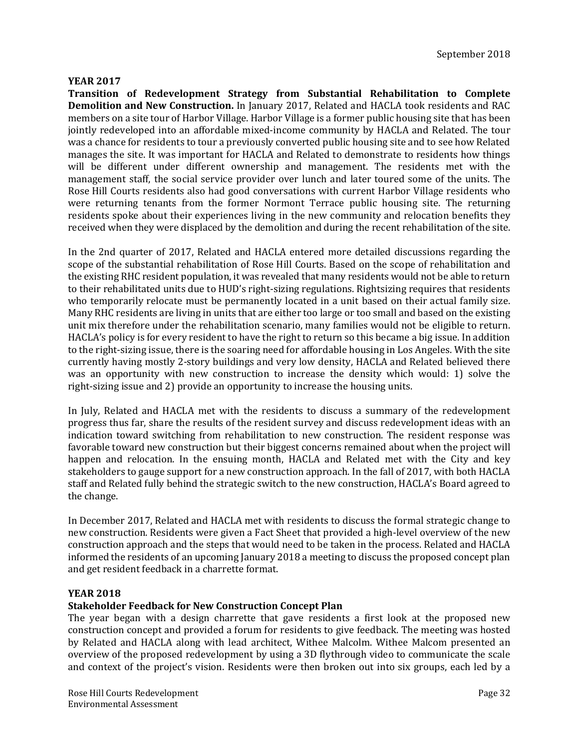### **YEAR 2017**

**Transition of Redevelopment Strategy from Substantial Rehabilitation to Complete Demolition and New Construction.** In January 2017, Related and HACLA took residents and RAC members on a site tour of Harbor Village. Harbor Village is a former public housing site that has been jointly redeveloped into an affordable mixed-income community by HACLA and Related. The tour was a chance for residents to tour a previously converted public housing site and to see how Related manages the site. It was important for HACLA and Related to demonstrate to residents how things will be different under different ownership and management. The residents met with the management staff, the social service provider over lunch and later toured some of the units. The Rose Hill Courts residents also had good conversations with current Harbor Village residents who were returning tenants from the former Normont Terrace public housing site. The returning residents spoke about their experiences living in the new community and relocation benefits they received when they were displaced by the demolition and during the recent rehabilitation of the site.

In the 2nd quarter of 2017, Related and HACLA entered more detailed discussions regarding the scope of the substantial rehabilitation of Rose Hill Courts. Based on the scope of rehabilitation and the existing RHC resident population, it was revealed that many residents would not be able to return to their rehabilitated units due to HUD's right-sizing regulations. Rightsizing requires that residents who temporarily relocate must be permanently located in a unit based on their actual family size. Many RHC residents are living in units that are either too large or too small and based on the existing unit mix therefore under the rehabilitation scenario, many families would not be eligible to return. HACLA's policy is for every resident to have the right to return so this became a big issue. In addition to the right-sizing issue, there is the soaring need for affordable housing in Los Angeles. With the site currently having mostly 2-story buildings and very low density, HACLA and Related believed there was an opportunity with new construction to increase the density which would: 1) solve the right-sizing issue and 2) provide an opportunity to increase the housing units.

In July, Related and HACLA met with the residents to discuss a summary of the redevelopment progress thus far, share the results of the resident survey and discuss redevelopment ideas with an indication toward switching from rehabilitation to new construction. The resident response was favorable toward new construction but their biggest concerns remained about when the project will happen and relocation. In the ensuing month, HACLA and Related met with the City and key stakeholders to gauge support for a new construction approach. In the fall of 2017, with both HACLA staff and Related fully behind the strategic switch to the new construction, HACLA's Board agreed to the change.

In December 2017, Related and HACLA met with residents to discuss the formal strategic change to new construction. Residents were given a Fact Sheet that provided a high-level overview of the new construction approach and the steps that would need to be taken in the process. Related and HACLA informed the residents of an upcoming January 2018 a meeting to discuss the proposed concept plan and get resident feedback in a charrette format.

### **YEAR 2018**

### **Stakeholder Feedback for New Construction Concept Plan**

The year began with a design charrette that gave residents a first look at the proposed new construction concept and provided a forum for residents to give feedback. The meeting was hosted by Related and HACLA along with lead architect, Withee Malcolm. Withee Malcom presented an overview of the proposed redevelopment by using a 3D flythrough video to communicate the scale and context of the project's vision. Residents were then broken out into six groups, each led by a